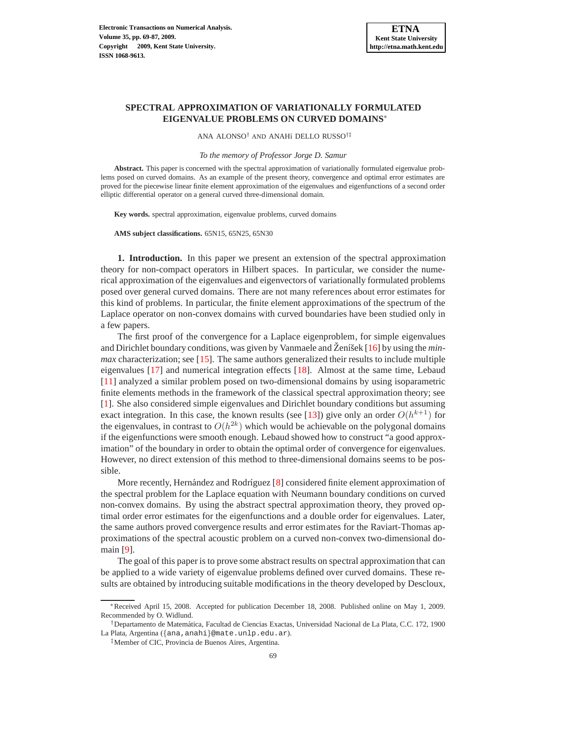# **SPECTRAL APPROXIMATION OF VARIATIONALLY FORMULATED EIGENVALUE PROBLEMS ON CURVED DOMAINS**<sup>∗</sup>

ANA ALONSO† AND ANAH´ı DELLO RUSSO†‡

*To the memory of Professor Jorge D. Samur*

**Abstract.** This paper is concerned with the spectral approximation of variationally formulated eigenvalue problems posed on curved domains. As an example of the present theory, convergence and optimal error estimates are proved for the piecewise linear finite element approximation of the eigenvalues and eigenfunctions of a second order elliptic differential operator on a general curved three-dimensional domain.

**Key words.** spectral approximation, eigenvalue problems, curved domains

**AMS subject classifications.** 65N15, 65N25, 65N30

**1. Introduction.** In this paper we present an extension of the spectral approximation theory for non-compact operators in Hilbert spaces. In particular, we consider the numerical approximation of the eigenvalues and eigenvectors of variationally formulated problems posed over general curved domains. There are not many references about error estimates for this kind of problems. In particular, the finite element approximations of the spectrum of the Laplace operator on non-convex domains with curved boundaries have been studied only in a few papers.

The first proof of the convergence for a Laplace eigenproblem, for simple eigenvalues and Dirichlet boundary conditions, was given by Vanmaele and  $\check{Z}$ eníšek [[16\]](#page-18-0) by using the *minmax* characterization; see [\[15\]](#page-18-1). The same authors generalized their results to include multiple eigenvalues [\[17\]](#page-18-2) and numerical integration effects [\[18\]](#page-18-3). Almost at the same time, Lebaud [\[11\]](#page-18-4) analyzed a similar problem posed on two-dimensional domains by using isoparametric finite elements methods in the framework of the classical spectral approximation theory; see [\[1\]](#page-18-5). She also considered simple eigenvalues and Dirichlet boundary conditions but assuming exact integration. In this case, the known results (see [\[13\]](#page-18-6)) give only an order  $O(h^{k+1})$  for the eigenvalues, in contrast to  $O(h^{2k})$  which would be achievable on the polygonal domains if the eigenfunctions were smooth enough. Lebaud showed how to construct "a good approximation" of the boundary in order to obtain the optimal order of convergence for eigenvalues. However, no direct extension of this method to three-dimensional domains seems to be possible.

More recently, Hernández and Rodríguez  $[8]$  considered finite element approximation of the spectral problem for the Laplace equation with Neumann boundary conditions on curved non-convex domains. By using the abstract spectral approximation theory, they proved optimal order error estimates for the eigenfunctions and a double order for eigenvalues. Later, the same authors proved convergence results and error estimates for the Raviart-Thomas approximations of the spectral acoustic problem on a curved non-convex two-dimensional domain [\[9\]](#page-18-8).

The goal of this paper is to prove some abstract results on spectral approximation that can be applied to a wide variety of eigenvalue problems defined over curved domains. These results are obtained by introducing suitable modifications in the theory developed by Descloux,

<sup>∗</sup>Received April 15, 2008. Accepted for publication December 18, 2008. Published online on May 1, 2009. Recommended by O. Widlund.

<sup>†</sup>Departamento de Matem´atica, Facultad de Ciencias Exactas, Universidad Nacional de La Plata, C.C. 172, 1900 La Plata, Argentina ({ana,anahi}@mate.unlp.edu.ar).

<sup>‡</sup>Member of CIC, Provincia de Buenos Aires, Argentina.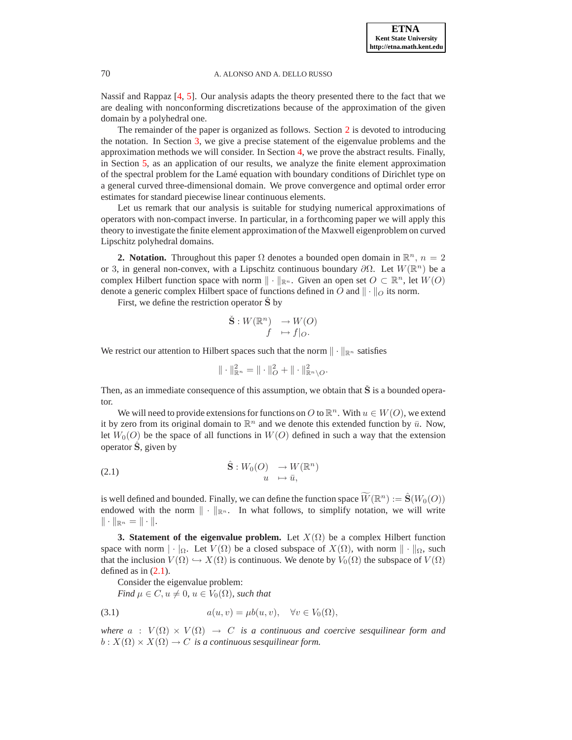Nassif and Rappaz [\[4,](#page-18-9) [5\]](#page-18-10). Our analysis adapts the theory presented there to the fact that we are dealing with nonconforming discretizations because of the approximation of the given domain by a polyhedral one.

The remainder of the paper is organized as follows. Section [2](#page-1-0) is devoted to introducing the notation. In Section [3,](#page-1-1) we give a precise statement of the eigenvalue problems and the approximation methods we will consider. In Section [4,](#page-3-0) we prove the abstract results. Finally, in Section [5,](#page-10-0) as an application of our results, we analyze the finite element approximation of the spectral problem for the Lam´e equation with boundary conditions of Dirichlet type on a general curved three-dimensional domain. We prove convergence and optimal order error estimates for standard piecewise linear continuous elements.

Let us remark that our analysis is suitable for studying numerical approximations of operators with non-compact inverse. In particular, in a forthcoming paper we will apply this theory to investigate the finite element approximation of the Maxwell eigenproblem on curved Lipschitz polyhedral domains.

<span id="page-1-0"></span>**2. Notation.** Throughout this paper  $\Omega$  denotes a bounded open domain in  $\mathbb{R}^n$ ,  $n = 2$ or 3, in general non-convex, with a Lipschitz continuous boundary  $\partial\Omega$ . Let  $W(\mathbb{R}^n)$  be a complex Hilbert function space with norm  $\|\cdot\|_{\mathbb{R}^n}$ . Given an open set  $O \subset \mathbb{R}^n$ , let  $W(O)$ denote a generic complex Hilbert space of functions defined in O and  $\|\cdot\|_O$  its norm.

First, we define the restriction operator  $\hat{\mathbf{S}}$  by

$$
\check{\mathbf{S}} : W(\mathbb{R}^n) \to W(O) \nf \mapsto f|_O.
$$

We restrict our attention to Hilbert spaces such that the norm  $\|\cdot\|_{\mathbb{R}^n}$  satisfies

$$
\|\cdot\|_{\mathbb{R}^n}^2 = \|\cdot\|_O^2 + \|\cdot\|_{\mathbb{R}^n\setminus O}^2.
$$

Then, as an immediate consequence of this assumption, we obtain that  $\check{S}$  is a bounded operator.

We will need to provide extensions for functions on O to  $\mathbb{R}^n$ . With  $u \in W(O)$ , we extend it by zero from its original domain to  $\mathbb{R}^n$  and we denote this extended function by  $\bar{u}$ . Now, let  $W_0(O)$  be the space of all functions in  $W(O)$  defined in such a way that the extension operator  $\hat{S}$ , given by

<span id="page-1-2"></span>(2.1) 
$$
\hat{\mathbf{S}}: W_0(O) \to W(\mathbb{R}^n) u \mapsto \bar{u},
$$

is well defined and bounded. Finally, we can define the function space  $\widetilde{W}(\mathbb{R}^n) := \hat{\mathbf{S}}(W_0(O))$ endowed with the norm  $\|\cdot\|_{\mathbb{R}^n}$ . In what follows, to simplify notation, we will write  $\|\cdot\|_{\mathbb{R}^n} = \|\cdot\|.$ 

<span id="page-1-1"></span>**3. Statement of the eigenvalue problem.** Let  $X(\Omega)$  be a complex Hilbert function space with norm  $\|\cdot\|_{\Omega}$ . Let  $V(\Omega)$  be a closed subspace of  $X(\Omega)$ , with norm  $\|\cdot\|_{\Omega}$ , such that the inclusion  $V(\Omega) \hookrightarrow X(\Omega)$  is continuous. We denote by  $V_0(\Omega)$  the subspace of  $V(\Omega)$ defined as in  $(2.1)$ .

Consider the eigenvalue problem:

<span id="page-1-3"></span>*Find*  $\mu \in C$ ,  $u \neq 0$ ,  $u \in V_0(\Omega)$ , such that

(3.1) 
$$
a(u,v) = \mu b(u,v), \quad \forall v \in V_0(\Omega),
$$

*where*  $a : V(\Omega) \times V(\Omega) \rightarrow C$  *is a continuous and coercive sesquilinear form and*  $b: X(\Omega) \times X(\Omega) \to C$  *is a continuous sesquilinear form.*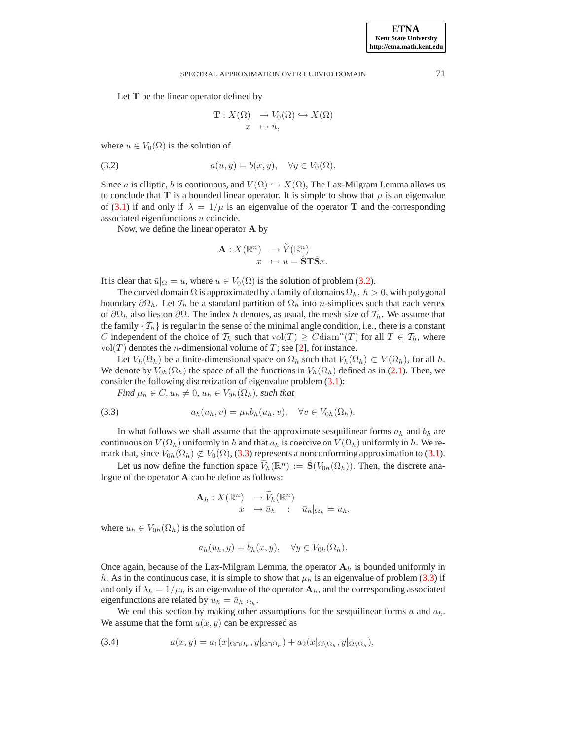Let T be the linear operator defined by

$$
\mathbf{T}: X(\Omega) \to V_0(\Omega) \hookrightarrow X(\Omega)
$$
  

$$
x \mapsto u,
$$

where  $u \in V_0(\Omega)$  is the solution of

<span id="page-2-0"></span>(3.2) 
$$
a(u, y) = b(x, y), \quad \forall y \in V_0(\Omega).
$$

Since a is elliptic, b is continuous, and  $V(\Omega) \hookrightarrow X(\Omega)$ , The Lax-Milgram Lemma allows us to conclude that T is a bounded linear operator. It is simple to show that  $\mu$  is an eigenvalue of [\(3.1\)](#page-1-3) if and only if  $\lambda = 1/\mu$  is an eigenvalue of the operator **T** and the corresponding associated eigenfunctions u coincide.

Now, we define the linear operator A by

$$
\begin{array}{rcl}\n\mathbf{A}: X(\mathbb{R}^n) & \to \widetilde{V}(\mathbb{R}^n) \\
x & \mapsto \bar{u} = \mathbf{\widehat{S}} \mathbf{T} \mathbf{\widehat{S}} x.\n\end{array}
$$

It is clear that  $\bar{u}|_{\Omega} = u$ , where  $u \in V_0(\Omega)$  is the solution of problem [\(3.2\)](#page-2-0).

The curved domain  $\Omega$  is approximated by a family of domains  $\Omega_h$ ,  $h > 0$ , with polygonal boundary  $\partial\Omega_h$ . Let  $\mathcal{T}_h$  be a standard partition of  $\Omega_h$  into *n*-simplices such that each vertex of  $\partial\Omega_h$  also lies on  $\partial\Omega$ . The index h denotes, as usual, the mesh size of  $\mathcal{T}_h$ . We assume that the family  $\{T_h\}$  is regular in the sense of the minimal angle condition, i.e., there is a constant C independent of the choice of  $\mathcal{T}_h$  such that vol $(T) \geq C \text{diam}^n(T)$  for all  $T \in \mathcal{T}_h$ , where vol $(T)$  denotes the *n*-dimensional volume of *T*; see [\[2\]](#page-18-11), for instance.

Let  $V_h(\Omega_h)$  be a finite-dimensional space on  $\Omega_h$  such that  $V_h(\Omega_h) \subset V(\Omega_h)$ , for all h. We denote by  $V_{0h}(\Omega_h)$  the space of all the functions in  $V_h(\Omega_h)$  defined as in [\(2.1\)](#page-1-2). Then, we consider the following discretization of eigenvalue problem  $(3.1)$ :

<span id="page-2-1"></span>*Find*  $\mu_h \in C$ ,  $u_h \neq 0$ ,  $u_h \in V_{0h}(\Omega_h)$ , such that

(3.3) 
$$
a_h(u_h, v) = \mu_h b_h(u_h, v), \quad \forall v \in V_{0h}(\Omega_h).
$$

In what follows we shall assume that the approximate sesquilinear forms  $a_h$  and  $b_h$  are continuous on  $V(\Omega_h)$  uniformly in h and that  $a_h$  is coercive on  $V(\Omega_h)$  uniformly in h. We remark that, since  $V_{0h}(\Omega_h) \not\subset V_0(\Omega)$ , [\(3.3\)](#page-2-1) represents a nonconforming approximation to [\(3.1\)](#page-1-3).

Let us now define the function space  $\widetilde{V}_h(\mathbb{R}^n) := \hat{S}(V_{0h}(\Omega_h))$ . Then, the discrete analogue of the operator A can be define as follows:

$$
\mathbf{A}_h: X(\mathbb{R}^n) \to \widetilde{V}_h(\mathbb{R}^n) \n x \mapsto \bar{u}_h : \bar{u}_h|_{\Omega_h} = u_h,
$$

where  $u_h \in V_{0h}(\Omega_h)$  is the solution of

$$
a_h(u_h, y) = b_h(x, y), \quad \forall y \in V_{0h}(\Omega_h).
$$

Once again, because of the Lax-Milgram Lemma, the operator  $A_h$  is bounded uniformly in h. As in the continuous case, it is simple to show that  $\mu_h$  is an eigenvalue of problem [\(3.3\)](#page-2-1) if and only if  $\lambda_h = 1/\mu_h$  is an eigenvalue of the operator  $A_h$ , and the corresponding associated eigenfunctions are related by  $u_h = \bar{u}_h|_{\Omega_h}$ .

We end this section by making other assumptions for the sesquilinear forms  $a$  and  $a_h$ . We assume that the form  $a(x, y)$  can be expressed as

<span id="page-2-2"></span>(3.4) 
$$
a(x,y) = a_1(x|_{\Omega \cap \Omega_h}, y|_{\Omega \cap \Omega_h}) + a_2(x|_{\Omega \setminus \Omega_h}, y|_{\Omega \setminus \Omega_h}),
$$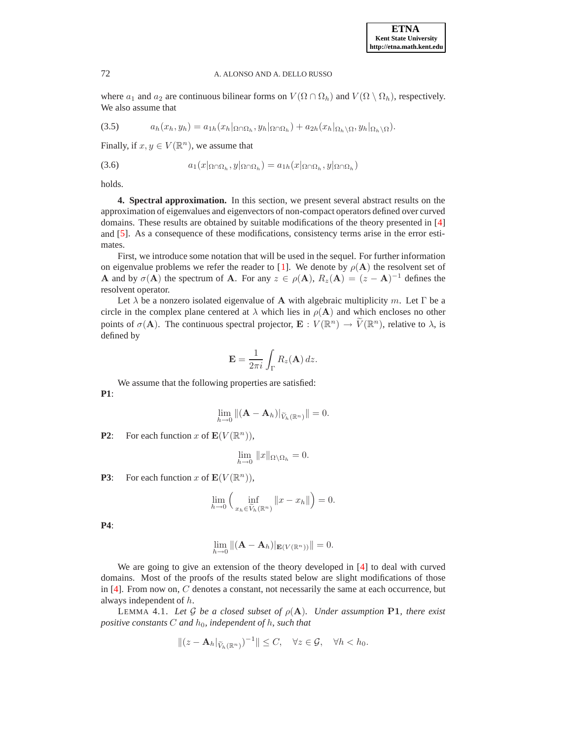where  $a_1$  and  $a_2$  are continuous bilinear forms on  $V(\Omega \cap \Omega_h)$  and  $V(\Omega \setminus \Omega_h)$ , respectively. We also assume that

<span id="page-3-3"></span>
$$
(3.5) \t ah(xh, yh) = a1h(xh|Ω∩Ωh, yh|Ω∩Ωh) + a2h(xh|Ωh\setminus Ω, yh|Ωh\setminus Ω).
$$

Finally, if  $x, y \in V(\mathbb{R}^n)$ , we assume that

<span id="page-3-2"></span>
$$
(3.6) \t\t\t a_1(x|_{\Omega \cap \Omega_h}, y|_{\Omega \cap \Omega_h}) = a_{1h}(x|_{\Omega \cap \Omega_h}, y|_{\Omega \cap \Omega_h})
$$

<span id="page-3-0"></span>holds.

**4. Spectral approximation.** In this section, we present several abstract results on the approximation of eigenvalues and eigenvectors of non-compact operators defined over curved domains. These results are obtained by suitable modifications of the theory presented in [\[4\]](#page-18-9) and [\[5\]](#page-18-10). As a consequence of these modifications, consistency terms arise in the error estimates.

First, we introduce some notation that will be used in the sequel. For further information on eigenvalue problems we refer the reader to [\[1\]](#page-18-5). We denote by  $\rho(A)$  the resolvent set of **A** and by  $\sigma(A)$  the spectrum of **A**. For any  $z \in \rho(A)$ ,  $R_z(A) = (z - A)^{-1}$  defines the resolvent operator.

Let  $\lambda$  be a nonzero isolated eigenvalue of **A** with algebraic multiplicity m. Let  $\Gamma$  be a circle in the complex plane centered at  $\lambda$  which lies in  $\rho(A)$  and which encloses no other points of  $\sigma(\mathbf{A})$ . The continuous spectral projector,  $\mathbf{E}: V(\mathbb{R}^n) \to \widetilde{V}(\mathbb{R}^n)$ , relative to  $\lambda$ , is defined by

$$
\mathbf{E} = \frac{1}{2\pi i} \int_{\Gamma} R_z(\mathbf{A}) \, dz.
$$

We assume that the following properties are satisfied:

**P1**:

$$
\lim_{h\to 0} \|(\mathbf{A}-\mathbf{A}_h)|_{\widetilde{V}_h(\mathbb{R}^n)}\|=0.
$$

**P2**: For each function x of  $\mathbf{E}(V(\mathbb{R}^n))$ ,

$$
\lim_{h \to 0} ||x||_{\Omega \setminus \Omega_h} = 0.
$$

**P3**: For each function x of  $\mathbf{E}(V(\mathbb{R}^n))$ ,

$$
\lim_{h \to 0} \left( \inf_{x_h \in \widetilde{V}_h(\mathbb{R}^n)} \|x - x_h\| \right) = 0.
$$

**P4**:

$$
\lim_{h\to 0} \left\| (\mathbf{A} - \mathbf{A}_h) \right|_{\mathbf{E}(V(\mathbb{R}^n))} \right\| = 0.
$$

We are going to give an extension of the theory developed in [\[4\]](#page-18-9) to deal with curved domains. Most of the proofs of the results stated below are slight modifications of those in  $[4]$ . From now on, C denotes a constant, not necessarily the same at each occurrence, but always independent of h.

<span id="page-3-1"></span>LEMMA 4.1. Let G be a closed subset of  $\rho(A)$ . Under assumption **P1**, there exist *positive constants* C *and*  $h_0$ *, independent of*  $h$ *, such that* 

$$
||(z-\mathbf{A}_h|_{\widetilde{V}_h(\mathbb{R}^n)})^{-1}||\leq C, \quad \forall z\in\mathcal{G}, \quad \forall h
$$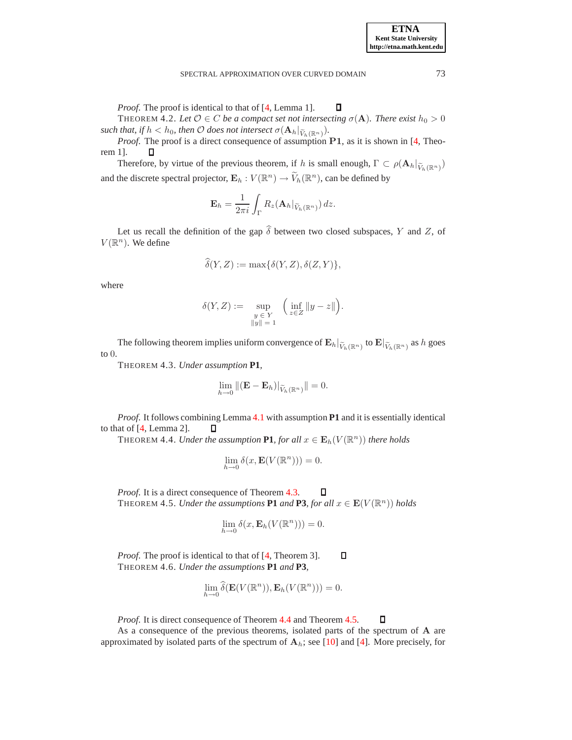*Proof.* The proof is identical to that of [\[4,](#page-18-9) Lemma 1]. О THEOREM 4.2. Let  $\mathcal{O} \in C$  *be a compact set not intersecting*  $\sigma(\mathbf{A})$ *. There exist*  $h_0 > 0$  $\mathit{such that, if} \, h < h_0, \, \mathit{then} \, \mathcal O \, does \, \mathit{not \, intersect} \, \sigma(\mathbf A_h|_{\widetilde V_h(\mathbb R^n)}).$ 

*Proof.* The proof is a direct consequence of assumption P1, as it is shown in [\[4,](#page-18-9) Theorem 1]. Д

Therefore, by virtue of the previous theorem, if h is small enough,  $\Gamma \subset \rho(\mathbf{A}_h|_{\widetilde{V}_h(\mathbb{R}^n)})$ and the discrete spectral projector,  $\mathbf{E}_h : V(\mathbb{R}^n) \to \widetilde{V}_h(\mathbb{R}^n)$ , can be defined by

$$
\mathbf{E}_h = \frac{1}{2\pi i} \int_{\Gamma} R_z(\mathbf{A}_h |_{\widetilde{V}_h(\mathbb{R}^n)}) \, dz.
$$

Let us recall the definition of the gap  $\hat{\delta}$  between two closed subspaces, Y and Z, of  $V(\mathbb{R}^n)$ . We define

$$
\widehat{\delta}(Y, Z) := \max{\{\delta(Y, Z), \delta(Z, Y)\}},
$$

where

$$
\delta(Y, Z) := \sup_{\substack{y \in Y \\ \|y\| = 1}} \left( \inf_{z \in Z} \|y - z\| \right).
$$

<span id="page-4-0"></span>The following theorem implies uniform convergence of  $\mathbf{E}_h|_{\widetilde{V}_h(\mathbb{R}^n)}$  to  $\mathbf{E}|_{\widetilde{V}_h(\mathbb{R}^n)}$  as h goes to 0.

THEOREM 4.3. *Under assumption* **P1***,*

$$
\lim_{h \to 0} \|(\mathbf{E} - \mathbf{E}_h)|_{\widetilde{V}_h(\mathbb{R}^n)} \| = 0.
$$

<span id="page-4-1"></span>*Proof*. It follows combining Lemma [4.1](#page-3-1) with assumption **P1** and it is essentially identical to that of [\[4,](#page-18-9) Lemma 2]. Д

THEOREM 4.4. *Under the assumption* **P1**, for all  $x \in \mathbf{E}_h(V(\mathbb{R}^n))$  there holds

$$
\lim_{h \to 0} \delta(x, \mathbf{E}(V(\mathbb{R}^n))) = 0.
$$

<span id="page-4-2"></span>*Proof*. It is a direct consequence of Theorem [4.3.](#page-4-0) П THEOREM 4.5. *Under the assumptions* **P1** and **P3***, for all*  $x \in \mathbf{E}(V(\mathbb{R}^n))$  *holds* 

$$
\lim_{h \to 0} \delta(x, \mathbf{E}_h(V(\mathbb{R}^n))) = 0.
$$

*Proof.* The proof is identical to that of [\[4,](#page-18-9) Theorem 3].  $\Box$ THEOREM 4.6. *Under the assumptions* **P1** *and* **P3***,*

$$
\lim_{h \to 0} \widehat{\delta}(\mathbf{E}(V(\mathbb{R}^n)), \mathbf{E}_h(V(\mathbb{R}^n))) = 0.
$$

*Proof.* It is direct consequence of Theorem [4.4](#page-4-1) and Theorem [4.5.](#page-4-2)

As a consequence of the previous theorems, isolated parts of the spectrum of A are approximated by isolated parts of the spectrum of  $A_h$ ; see [\[10\]](#page-18-12) and [\[4\]](#page-18-9). More precisely, for

 $\Box$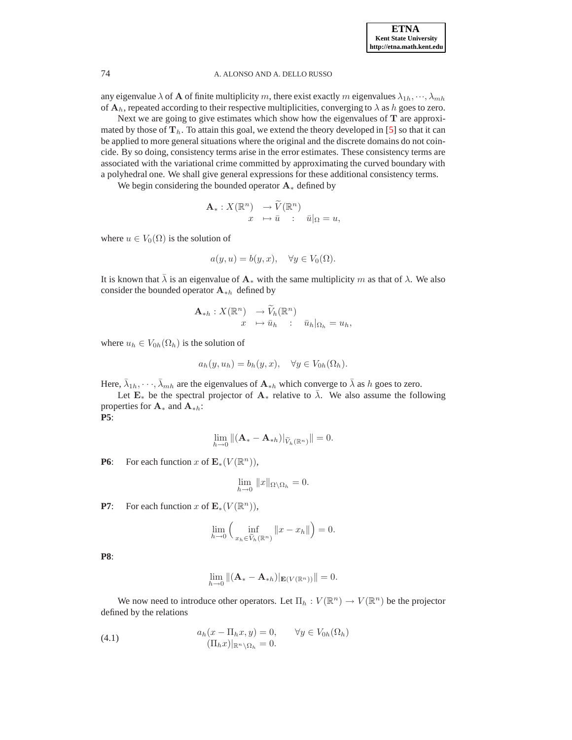any eigenvalue  $\lambda$  of **A** of finite multiplicity m, there exist exactly m eigenvalues  $\lambda_{1h}, \dots, \lambda_{mh}$ of  $A_h$ , repeated according to their respective multiplicities, converging to  $\lambda$  as h goes to zero.

Next we are going to give estimates which show how the eigenvalues of  $T$  are approximated by those of  $T_h$ . To attain this goal, we extend the theory developed in [\[5\]](#page-18-10) so that it can be applied to more general situations where the original and the discrete domains do not coincide. By so doing, consistency terms arise in the error estimates. These consistency terms are associated with the variational crime committed by approximating the curved boundary with a polyhedral one. We shall give general expressions for these additional consistency terms.

We begin considering the bounded operator  $A_*$  defined by

$$
\mathbf{A}_{*}: X(\mathbb{R}^{n}) \to \widetilde{V}(\mathbb{R}^{n})
$$

$$
x \mapsto \overline{u} : \overline{u}|_{\Omega} = u,
$$

where  $u \in V_0(\Omega)$  is the solution of

$$
a(y, u) = b(y, x), \quad \forall y \in V_0(\Omega).
$$

It is known that  $\bar{\lambda}$  is an eigenvalue of  $A_*$  with the same multiplicity m as that of  $\lambda$ . We also consider the bounded operator  $A_{\ast h}$  defined by

$$
\mathbf{A}_{*h}: X(\mathbb{R}^n) \to \widetilde{V}_h(\mathbb{R}^n) \n x \mapsto \overline{u}_h : \overline{u}_h|_{\Omega_h} = u_h,
$$

where  $u_h \in V_{0h}(\Omega_h)$  is the solution of

$$
a_h(y, u_h) = b_h(y, x), \quad \forall y \in V_{0h}(\Omega_h).
$$

Here,  $\bar{\lambda}_{1h}, \dots, \bar{\lambda}_{mh}$  are the eigenvalues of  $\mathbf{A}_{*h}$  which converge to  $\bar{\lambda}$  as h goes to zero.

Let  $\mathbf{E}_{*}$  be the spectral projector of  $\mathbf{A}_{*}$  relative to  $\bar{\lambda}$ . We also assume the following properties for  $\mathbf{A}_{*}$  and  $\mathbf{A}_{*h}$ : **P5**:

$$
\lim_{h\to 0}\|(\mathbf{A}_*-\mathbf{A}_{*h})|_{\widetilde{V}_h({\mathbb R}^n)}\|=0.
$$

**P6**: For each function x of  $\mathbf{E}_*(V(\mathbb{R}^n))$ ,

$$
\lim_{h \to 0} ||x||_{\Omega \setminus \Omega_h} = 0.
$$

**P7**: For each function x of  $\mathbf{E}_*(V(\mathbb{R}^n))$ ,

$$
\lim_{h \to 0} \left( \inf_{x_h \in \widetilde{V}_h(\mathbb{R}^n)} \|x - x_h\| \right) = 0.
$$

**P8**:

$$
\lim_{h\to 0} \|(\mathbf{A}_{*}-\mathbf{A}_{*h})|_{\mathbf{E}(V(\mathbb{R}^n))}\|=0.
$$

We now need to introduce other operators. Let  $\Pi_h : V(\mathbb{R}^n) \to V(\mathbb{R}^n)$  be the projector defined by the relations

<span id="page-5-0"></span>(4.1) 
$$
a_h(x - \Pi_h x, y) = 0, \qquad \forall y \in V_{0h}(\Omega_h)
$$

$$
(\Pi_h x)|_{\mathbb{R}^n \setminus \Omega_h} = 0.
$$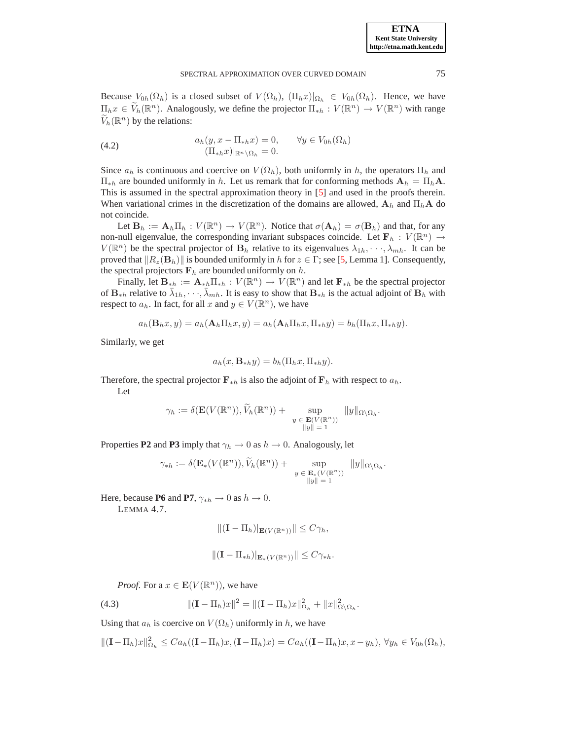Because  $V_{0h}(\Omega_h)$  is a closed subset of  $V(\Omega_h)$ ,  $(\Pi_h x)|_{\Omega_h} \in V_{0h}(\Omega_h)$ . Hence, we have  $\Pi_h x \in \widetilde{V}_h(\mathbb{R}^n)$ . Analogously, we define the projector  $\Pi_{*h} : V(\mathbb{R}^n) \to V(\mathbb{R}^n)$  with range  $\widetilde{V}_h(\mathbb{R}^n)$  by the relations:

(4.2) 
$$
a_h(y, x - \Pi_{*h} x) = 0, \qquad \forall y \in V_{0h}(\Omega_h)
$$

$$
(\Pi_{*h} x)|_{\mathbb{R}^n \setminus \Omega_h} = 0.
$$

Since  $a_h$  is continuous and coercive on  $V(\Omega_h)$ , both uniformly in h, the operators  $\Pi_h$  and  $\Pi_{\ast h}$  are bounded uniformly in h. Let us remark that for conforming methods  $\mathbf{A}_h = \Pi_h \mathbf{A}$ . This is assumed in the spectral approximation theory in [\[5\]](#page-18-10) and used in the proofs therein. When variational crimes in the discretization of the domains are allowed,  $A_h$  and  $\Pi_hA$  do not coincide.

Let  $\mathbf{B}_h := \mathbf{A}_h \Pi_h : V(\mathbb{R}^n) \to V(\mathbb{R}^n)$ . Notice that  $\sigma(\mathbf{A}_h) = \sigma(\mathbf{B}_h)$  and that, for any non-null eigenvalue, the corresponding invariant subspaces coincide. Let  $F_h : V(\mathbb{R}^n) \to$  $V(\mathbb{R}^n)$  be the spectral projector of  $\mathbf{B}_h$  relative to its eigenvalues  $\lambda_{1h}, \dots, \lambda_{mh}$ . It can be proved that  $\|R_z(\mathbf{B}_h)\|$  is bounded uniformly in h for  $z \in \Gamma$ ; see [\[5,](#page-18-10) Lemma 1]. Consequently, the spectral projectors  $F_h$  are bounded uniformly on h.

Finally, let  $\mathbf{B}_{*h} := \mathbf{A}_{*h} \Pi_{*h} : V(\mathbb{R}^n) \to V(\mathbb{R}^n)$  and let  $\mathbf{F}_{*h}$  be the spectral projector of  $\mathbf{B}_{*h}$  relative to  $\bar{\lambda}_{1h}, \dots, \bar{\lambda}_{mh}$ . It is easy to show that  $\mathbf{B}_{*h}$  is the actual adjoint of  $\mathbf{B}_h$  with respect to  $a_h$ . In fact, for all x and  $y \in V(\mathbb{R}^n)$ , we have

$$
a_h(\mathbf{B}_h x, y) = a_h(\mathbf{A}_h \Pi_h x, y) = a_h(\mathbf{A}_h \Pi_h x, \Pi_{\ast h} y) = b_h(\Pi_h x, \Pi_{\ast h} y).
$$

Similarly, we get

$$
a_h(x, \mathbf{B}_{*h}y) = b_h(\Pi_h x, \Pi_{*h}y).
$$

Therefore, the spectral projector  $\mathbf{F}_{*h}$  is also the adjoint of  $\mathbf{F}_h$  with respect to  $a_h$ . Let

$$
\gamma_h := \delta(\mathbf{E}(V(\mathbb{R}^n)), \widetilde{V}_h(\mathbb{R}^n)) + \sup_{\substack{y \in \mathbf{E}(V(\mathbb{R}^n)) \\ \|y\| = 1}} \|y\|_{\Omega \setminus \Omega_h}.
$$

Properties **P2** and **P3** imply that  $\gamma_h \to 0$  as  $h \to 0$ . Analogously, let

$$
\gamma_{*h} := \delta(\mathbf{E}_*(V(\mathbb{R}^n)), \widetilde{V}_h(\mathbb{R}^n)) + \sup_{\substack{y \in \mathbf{E}_*(V(\mathbb{R}^n)) \\ ||y|| = 1}} ||y||_{\Omega \setminus \Omega_h}.
$$

<span id="page-6-1"></span>Here, because **P6** and **P7**,  $\gamma_{*h} \rightarrow 0$  as  $h \rightarrow 0$ .

LEMMA 4.7.

$$
\|(\mathbf{I}-\Pi_h)|_{\mathbf{E}(V(\mathbb{R}^n))}\|\leq C\gamma_h,
$$

$$
\|(\mathbf{I} - \Pi_{*h})|_{\mathbf{E}_*(V(\mathbb{R}^n))}\| \le C\gamma_{*h}.
$$

*Proof.* For a  $x \in \mathbf{E}(V(\mathbb{R}^n))$ , we have

<span id="page-6-0"></span>(4.3) 
$$
\|(\mathbf{I} - \Pi_h)x\|^2 = \|(\mathbf{I} - \Pi_h)x\|_{\Omega_h}^2 + \|x\|_{\Omega \setminus \Omega_h}^2.
$$

Using that  $a_h$  is coercive on  $V(\Omega_h)$  uniformly in h, we have

 $||(\mathbf{I}-\Pi_h)x||_{\Omega_h}^2 \leq C a_h((\mathbf{I}-\Pi_h)x,(\mathbf{I}-\Pi_h)x) = C a_h((\mathbf{I}-\Pi_h)x, x-y_h), \forall y_h \in V_{0h}(\Omega_h),$ 

**ETNA Kent State University http://etna.math.kent.edu**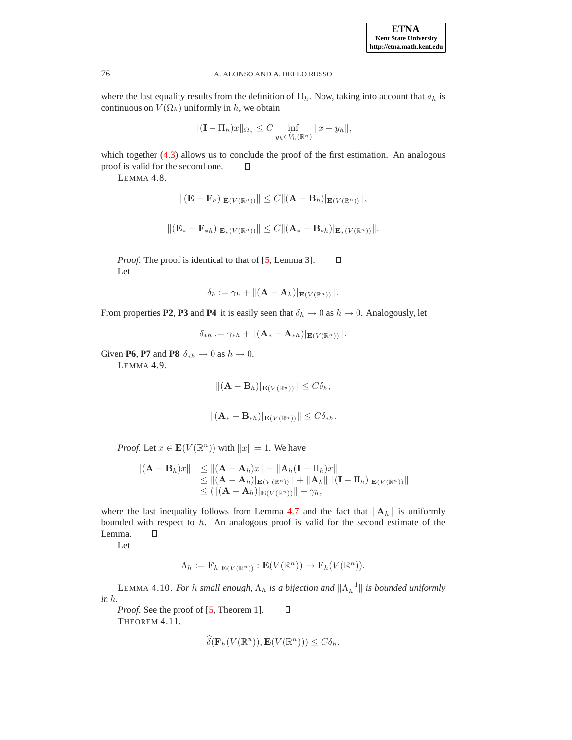where the last equality results from the definition of  $\Pi_h$ . Now, taking into account that  $a_h$  is continuous on  $V(\Omega_h)$  uniformly in h, we obtain

$$
\|(\mathbf{I} - \Pi_h)x\|_{\Omega_h} \le C \inf_{y_h \in \widetilde{V}_h(\mathbb{R}^n)} \|x - y_h\|,
$$

<span id="page-7-0"></span>which together  $(4.3)$  allows us to conclude the proof of the first estimation. An analogous proof is valid for the second one. Д

LEMMA 4.8.

$$
\|(\mathbf{E}-\mathbf{F}_h)|_{\mathbf{E}(V(\mathbb{R}^n))}\| \leq C \|(\mathbf{A}-\mathbf{B}_h)|_{\mathbf{E}(V(\mathbb{R}^n))}\|,
$$

$$
\|(\mathbf{E}_{*}-\mathbf{F}_{*h})|_{\mathbf{E}_{*}(V(\mathbb{R}^n))}\| \leq C\|(\mathbf{A}_{*}-\mathbf{B}_{*h})|_{\mathbf{E}_{*}(V(\mathbb{R}^n))}\|.
$$

*Proof.* The proof is identical to that of [\[5,](#page-18-10) Lemma 3]. П Let

$$
\delta_h := \gamma_h + \|(\mathbf{A} - \mathbf{A}_h)|_{\mathbf{E}(V(\mathbb{R}^n))}\|.
$$

From properties **P2, P3** and **P4** it is easily seen that  $\delta_h \to 0$  as  $h \to 0$ . Analogously, let

$$
\delta_{\ast h}:=\gamma_{\ast h}+\|(\mathbf{A}_\ast-\mathbf{A}_{\ast h})|_{\mathbf{E}(V(\mathbb{R}^n))}\|.
$$

<span id="page-7-1"></span>Given **P6**, **P7** and **P8**  $\delta_{*h} \to 0$  as  $h \to 0$ .

LEMMA 4.9.

$$
\|(\mathbf{A}-\mathbf{B}_h)|_{\mathbf{E}(V(\mathbb{R}^n))}\| \leq C\delta_h,
$$

$$
\|(\mathbf{A}_{*}-\mathbf{B}_{*h})|_{\mathbf{E}(V(\mathbb{R}^n))}\| \leq C\delta_{*h}.
$$

*Proof.* Let  $x \in \mathbf{E}(V(\mathbb{R}^n))$  with  $||x|| = 1$ . We have

$$
\begin{array}{ll}\n\|(\mathbf{A}-\mathbf{B}_h)x\| &\leq \|( \mathbf{A}-\mathbf{A}_h)x\| + \|\mathbf{A}_h(\mathbf{I}-\Pi_h)x\| \\
&\leq \|( \mathbf{A}-\mathbf{A}_h)\|_{\mathbf{E}(V(\mathbb{R}^n))}\| + \|\mathbf{A}_h\| \|( \mathbf{I}-\Pi_h)\|_{\mathbf{E}(V(\mathbb{R}^n))}\| \\
&\leq (\| (\mathbf{A}-\mathbf{A}_h)\|_{\mathbf{E}(V(\mathbb{R}^n))}\| + \gamma_h,\n\end{array}
$$

where the last inequality follows from Lemma [4.7](#page-6-1) and the fact that  $\|\mathbf{A}_h\|$  is uniformly bounded with respect to  $h$ . An analogous proof is valid for the second estimate of the Lemma.  $\Box$ 

Let

$$
\Lambda_h := \mathbf{F}_h|_{\mathbf{E}(V(\mathbb{R}^n))} : \mathbf{E}(V(\mathbb{R}^n)) \to \mathbf{F}_h(V(\mathbb{R}^n)).
$$

<span id="page-7-2"></span>LEMMA 4.10. *For h small enough,*  $\Lambda_h$  *is a bijection and*  $\|\Lambda_h^{-1}\|$  *is bounded uniformly in* h*.*

*Proof.* See the proof of [\[5,](#page-18-10) Theorem 1].  $\Box$ THEOREM 4.11.

$$
\widehat{\delta}(\mathbf{F}_h(V(\mathbb{R}^n)), \mathbf{E}(V(\mathbb{R}^n))) \leq C\delta_h.
$$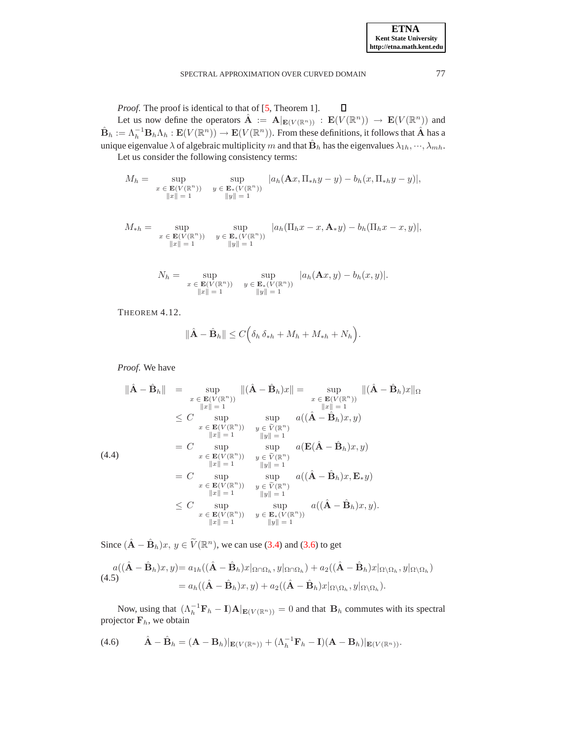*Proof.* The proof is identical to that of [\[5,](#page-18-10) Theorem 1].  $\Box$ 

Let us now define the operators  $\hat{\mathbf{A}} := \mathbf{A} |_{\mathbf{E}(V(\mathbb{R}^n))} : \mathbf{E}(V(\mathbb{R}^n)) \to \mathbf{E}(V(\mathbb{R}^n))$  and  $\hat{\mathbf{B}}_h := \Lambda_h^{-1} \mathbf{B}_h \Lambda_h : \mathbf{E}(V(\mathbb{R}^n)) \to \mathbf{E}(V(\mathbb{R}^n))$ . From these definitions, it follows that  $\hat{\mathbf{A}}$  has a unique eigenvalue  $\lambda$  of algebraic multiplicity  $m$  and that  $\hat{\bf B}_h$  has the eigenvalues  $\lambda_{1h},\cdots,\lambda_{mh}.$ 

Let us consider the following consistency terms:

$$
M_h = \sup_{\substack{x \in \mathbf{E}(V(\mathbb{R}^n)) \\ \|x\| = 1}} \sup_{\substack{y \in \mathbf{E}_*(V(\mathbb{R}^n)) \\ \|y\| = 1}} |a_h(\mathbf{A}x, \Pi_{*h}y - y) - b_h(x, \Pi_{*h}y - y)|,
$$

$$
M_{*h} = \sup_{\substack{x \in \mathbf{E}(V(\mathbb{R}^n)) \\ \|x\| = 1}} \sup_{\substack{y \in \mathbf{E}_*(V(\mathbb{R}^n)) \\ \|y\| = 1}} |a_h(\Pi_h x - x, \mathbf{A}_* y) - b_h(\Pi_h x - x, y)|,
$$

$$
N_h = \sup_{\substack{x \in \mathbf{E}(V(\mathbb{R}^n)) \\ \|x\| = 1}} \sup_{\substack{y \in \mathbf{E}_*(V(\mathbb{R}^n)) \\ \|y\| = 1}} |a_h(\mathbf{A}x, y) - b_h(x, y)|.
$$

<span id="page-8-3"></span>THEOREM 4.12.

$$
\|\hat{\mathbf{A}} - \hat{\mathbf{B}}_h\| \le C\Big(\delta_h \,\delta_{*h} + M_h + M_{*h} + N_h\Big).
$$

*Proof*. We have

<span id="page-8-2"></span>
$$
\|\hat{\mathbf{A}} - \hat{\mathbf{B}}_h\| = \sup_{\substack{x \in \mathbf{E}(V(\mathbb{R}^n)) \\ \|x\| = 1}} \|(\hat{\mathbf{A}} - \hat{\mathbf{B}}_h)x\| = \sup_{\substack{x \in \mathbf{E}(V(\mathbb{R}^n)) \\ \|x\| = 1}} \|(\hat{\mathbf{A}} - \hat{\mathbf{B}}_h)x\|_{\Omega}
$$
  
\n
$$
\leq C \sup_{\substack{x \in \mathbf{E}(V(\mathbb{R}^n)) \\ \|x\| = 1}} \sup_{\substack{y \in \widetilde{V}(\mathbb{R}^n) \\ \|y\| = 1}} a((\hat{\mathbf{A}} - \hat{\mathbf{B}}_h)x, y)
$$
  
\n
$$
= C \sup_{\substack{x \in \mathbf{E}(V(\mathbb{R}^n)) \\ \|x\| = 1}} \sup_{\substack{y \in \widetilde{V}(\mathbb{R}^n) \\ \|y\| = 1}} a(\mathbf{E}(\hat{\mathbf{A}} - \hat{\mathbf{B}}_h)x, y)
$$
  
\n
$$
= C \sup_{\substack{x \in \mathbf{E}(V(\mathbb{R}^n)) \\ \|x\| = 1}} \sup_{\substack{y \in \widetilde{V}(\mathbb{R}^n) \\ \|y\| = 1}} a((\hat{\mathbf{A}} - \hat{\mathbf{B}}_h)x, \mathbf{E}_y y)
$$
  
\n
$$
= C \sup_{\substack{x \in \mathbf{E}(V(\mathbb{R}^n)) \\ \|x\| = 1}} \sup_{\substack{y \in \widetilde{V}(\mathbb{R}^n) \\ \|y\| = 1}} a((\hat{\mathbf{A}} - \hat{\mathbf{B}}_h)x, \mathbf{E}_y y)
$$
  
\n
$$
= C \sup_{\substack{x \in \mathbf{E}(V(\mathbb{R}^n)) \\ \|x\| = 1}} \sup_{\substack{y \in \widetilde{V}(\mathbb{R}^n) \\ \|y\| = 1}} a((\hat{\mathbf{A}} - \hat{\mathbf{B}}_h)x, y).
$$

Since  $(\hat{\mathbf{A}} - \hat{\mathbf{B}}_h)x$ ,  $y \in \widetilde{V}(\mathbb{R}^n)$ , we can use [\(3.4\)](#page-2-2) and [\(3.6\)](#page-3-2) to get

<span id="page-8-0"></span>
$$
a((\hat{\mathbf{A}} - \hat{\mathbf{B}}_h)x, y) = a_{1h}((\hat{\mathbf{A}} - \hat{\mathbf{B}}_h)x|_{\Omega \cap \Omega_h}, y|_{\Omega \cap \Omega_h}) + a_2((\hat{\mathbf{A}} - \hat{\mathbf{B}}_h)x|_{\Omega \backslash \Omega_h}, y|_{\Omega \backslash \Omega_h})
$$
  
(4.5)  

$$
= a_h((\hat{\mathbf{A}} - \hat{\mathbf{B}}_h)x, y) + a_2((\hat{\mathbf{A}} - \hat{\mathbf{B}}_h)x|_{\Omega \backslash \Omega_h}, y|_{\Omega \backslash \Omega_h}).
$$

Now, using that  $(\Lambda_h^{-1} \mathbf{F}_h - \mathbf{I}) \mathbf{A}|_{\mathbf{E}(V(\mathbb{R}^n))} = 0$  and that  $\mathbf{B}_h$  commutes with its spectral projector  $F_h$ , we obtain

<span id="page-8-1"></span>(4.6) 
$$
\hat{\mathbf{A}} - \hat{\mathbf{B}}_h = (\mathbf{A} - \mathbf{B}_h)|_{\mathbf{E}(V(\mathbb{R}^n))} + (\Lambda_h^{-1} \mathbf{F}_h - \mathbf{I})(\mathbf{A} - \mathbf{B}_h)|_{\mathbf{E}(V(\mathbb{R}^n))}.
$$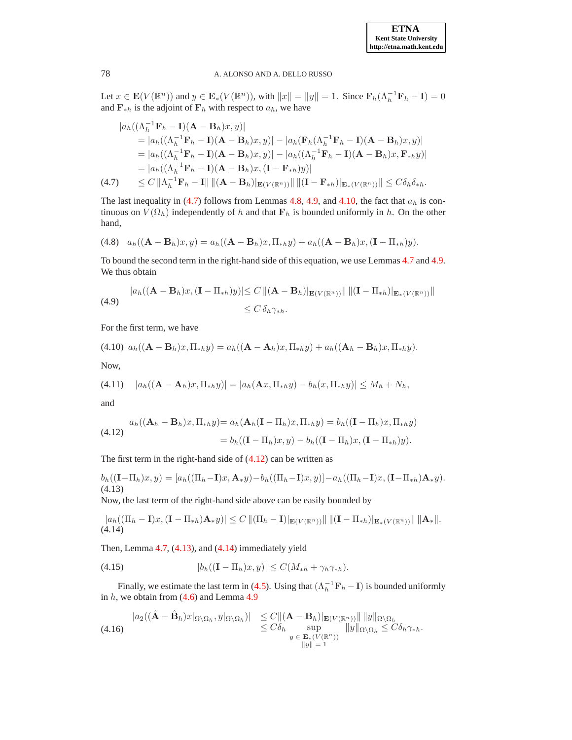Let  $x \in \mathbf{E}(V(\mathbb{R}^n))$  and  $y \in \mathbf{E}_*(V(\mathbb{R}^n))$ , with  $||x|| = ||y|| = 1$ . Since  $\mathbf{F}_h(\Lambda_h^{-1}\mathbf{F}_h - \mathbf{I}) = 0$ and  $\mathbf{F}_{*h}$  is the adjoint of  $\mathbf{F}_h$  with respect to  $a_h$ , we have

<span id="page-9-0"></span>
$$
|a_h((\Lambda_h^{-1}\mathbf{F}_h - \mathbf{I})(\mathbf{A} - \mathbf{B}_h)x, y)|
$$
  
\n
$$
= |a_h((\Lambda_h^{-1}\mathbf{F}_h - \mathbf{I})(\mathbf{A} - \mathbf{B}_h)x, y)| - |a_h(\mathbf{F}_h(\Lambda_h^{-1}\mathbf{F}_h - \mathbf{I})(\mathbf{A} - \mathbf{B}_h)x, y)|
$$
  
\n
$$
= |a_h((\Lambda_h^{-1}\mathbf{F}_h - \mathbf{I})(\mathbf{A} - \mathbf{B}_h)x, y)| - |a_h((\Lambda_h^{-1}\mathbf{F}_h - \mathbf{I})(\mathbf{A} - \mathbf{B}_h)x, \mathbf{F}_{*h}y)|
$$
  
\n
$$
= |a_h((\Lambda_h^{-1}\mathbf{F}_h - \mathbf{I})(\mathbf{A} - \mathbf{B}_h)x, (\mathbf{I} - \mathbf{F}_{*h})y)|
$$
  
\n(4.7) 
$$
\leq C \|\Lambda_h^{-1}\mathbf{F}_h - \mathbf{I}\| \|( \mathbf{A} - \mathbf{B}_h)\|_{\mathbf{E}(V(\mathbb{R}^n))} \| \|( \mathbf{I} - \mathbf{F}_{*h})\|_{\mathbf{E}_*(V(\mathbb{R}^n))} \| \leq C \delta_h \delta_{*h}.
$$

The last inequality in [\(4.7\)](#page-9-0) follows from Lemmas [4.8,](#page-7-0) [4.9,](#page-7-1) and [4.10,](#page-7-2) the fact that  $a_h$  is continuous on  $V(\Omega_h)$  independently of h and that  $\mathbf{F}_h$  is bounded uniformly in h. On the other hand,

$$
(4.8) \quad a_h((\mathbf{A}-\mathbf{B}_h)x,y)=a_h((\mathbf{A}-\mathbf{B}_h)x,\Pi_{*h}y)+a_h((\mathbf{A}-\mathbf{B}_h)x,(\mathbf{I}-\Pi_{*h})y).
$$

To bound the second term in the right-hand side of this equation, we use Lemmas [4.7](#page-6-1) and [4.9.](#page-7-1) We thus obtain

(4.9) 
$$
|a_h((\mathbf{A}-\mathbf{B}_h)x,(\mathbf{I}-\Pi_{*h})y)| \le C \left\| (\mathbf{A}-\mathbf{B}_h) \right\|_{\mathbf{E}(V(\mathbb{R}^n))} \|\left\| (\mathbf{I}-\Pi_{*h}) \right\|_{\mathbf{E}_*(V(\mathbb{R}^n))} \|
$$

$$
\le C \delta_h \gamma_{*h}.
$$

For the first term, we have

(4.10) 
$$
a_h((\mathbf{A}-\mathbf{B}_h)x,\Pi_{*h}y) = a_h((\mathbf{A}-\mathbf{A}_h)x,\Pi_{*h}y) + a_h((\mathbf{A}_h-\mathbf{B}_h)x,\Pi_{*h}y).
$$
 Now,

(4.11) 
$$
|a_h((\mathbf{A} - \mathbf{A}_h)x, \Pi_{*h}y)| = |a_h(\mathbf{A}x, \Pi_{*h}y) - b_h(x, \Pi_{*h}y)| \le M_h + N_h,
$$

and

<span id="page-9-1"></span>
$$
a_h((\mathbf{A}_h - \mathbf{B}_h)x, \Pi_{*h}y) = a_h(\mathbf{A}_h(\mathbf{I} - \Pi_h)x, \Pi_{*h}y) = b_h((\mathbf{I} - \Pi_h)x, \Pi_{*h}y)
$$
  

$$
= b_h((\mathbf{I} - \Pi_h)x, y) - b_h((\mathbf{I} - \Pi_h)x, (\mathbf{I} - \Pi_{*h})y).
$$

The first term in the right-hand side of  $(4.12)$  can be written as

<span id="page-9-2"></span>
$$
b_h((\mathbf{I}-\Pi_h)x,y)=[a_h((\Pi_h-\mathbf{I})x,\mathbf{A}_*y)-b_h((\Pi_h-\mathbf{I})x,y)]-a_h((\Pi_h-\mathbf{I})x,(\mathbf{I}-\Pi_{*h})\mathbf{A}_*y).
$$
  
(4.13)

Now, the last term of the right-hand side above can be easily bounded by

<span id="page-9-3"></span>
$$
|a_h((\Pi_h - \mathbf{I})x, (\mathbf{I} - \Pi_{*h})\mathbf{A}_*y)| \le C ||(\Pi_h - \mathbf{I})|_{\mathbf{E}(V(\mathbb{R}^n))} || ||(\mathbf{I} - \Pi_{*h})|_{\mathbf{E}_*(V(\mathbb{R}^n))} || ||\mathbf{A}_*||.
$$
\n(4.14)

Then, Lemma [4.7,](#page-6-1) [\(4.13\)](#page-9-2), and [\(4.14\)](#page-9-3) immediately yield

$$
(4.15) \t\t\t |b_h((\mathbf{I}-\Pi_h)x,y)| \leq C(M_{*h} + \gamma_h \gamma_{*h}).
$$

Finally, we estimate the last term in [\(4.5\)](#page-8-0). Using that  $(\Lambda_h^{-1} \mathbf{F}_h - \mathbf{I})$  is bounded uniformly in  $h$ , we obtain from  $(4.6)$  and Lemma [4.9](#page-7-1)

<span id="page-9-4"></span>
$$
|a_2((\hat{\mathbf{A}} - \hat{\mathbf{B}}_h)x|_{\Omega \setminus \Omega_h}, y|_{\Omega \setminus \Omega_h})| \leq C \|(A - B_h)|_{\mathbf{E}(V(\mathbb{R}^n))} \| \|y\|_{\Omega \setminus \Omega_h}
$$
  
\n
$$
\leq C\delta_h \sup_{\substack{y \in \mathbf{E}_*(V(\mathbb{R}^n)) \\ \|y\| = 1}} \|y\|_{\Omega \setminus \Omega_h} \leq C\delta_h \gamma_{*h}.
$$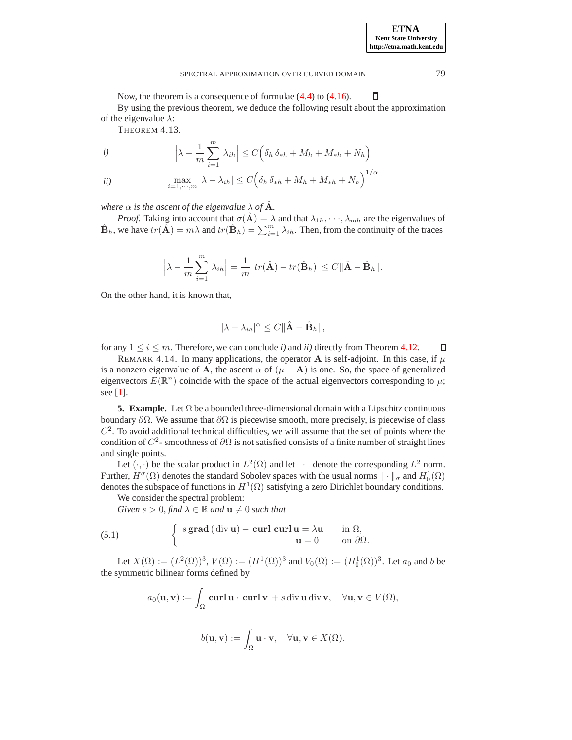<span id="page-10-2"></span>Now, the theorem is a consequence of formulae [\(4.4\)](#page-8-2) to [\(4.16\)](#page-9-4).  $\Box$ By using the previous theorem, we deduce the following result about the approximation of the eigenvalue  $\lambda$ :

THEOREM 4.13.

i) 
$$
\left|\lambda - \frac{1}{m}\sum_{i=1}^{m} \lambda_{ih}\right| \leq C\left(\delta_h \delta_{*h} + M_h + M_{*h} + N_h\right)
$$

$$
\max_{i=1,\cdots,m} |\lambda - \lambda_{ih}| \le C \Big( \delta_h \, \delta_{*h} + M_h + M_{*h} + N_h \Big)^{1/\alpha}
$$

*where*  $\alpha$  *is the ascent of the eigenvalue*  $\lambda$  *of* **A***.* 

*Proof.* Taking into account that  $\sigma(\mathbf{A}) = \lambda$  and that  $\lambda_{1h}, \dots, \lambda_{mh}$  are the eigenvalues of  $\hat{\mathbf{B}}_h$ , we have  $tr(\hat{\mathbf{A}}) = m\lambda$  and  $tr(\hat{\mathbf{B}}_h) = \sum_{i=1}^m \lambda_{ih}$ . Then, from the continuity of the traces

$$
\left|\lambda - \frac{1}{m}\sum_{i=1}^{m} \lambda_{ih}\right| = \frac{1}{m} |tr(\hat{\mathbf{A}}) - tr(\hat{\mathbf{B}}_h)| \le C \|\hat{\mathbf{A}} - \hat{\mathbf{B}}_h\|.
$$

On the other hand, it is known that,

$$
|\lambda - \lambda_{ih}|^{\alpha} \leq C ||\hat{\mathbf{A}} - \hat{\mathbf{B}}_h||,
$$

for any  $1 \le i \le m$ . Therefore, we can conclude *i*) and *ii*) directly from Theorem [4.12.](#page-8-3) П

REMARK 4.14. In many applications, the operator A is self-adjoint. In this case, if  $\mu$ is a nonzero eigenvalue of A, the ascent  $\alpha$  of  $(\mu - A)$  is one. So, the space of generalized eigenvectors  $E(\mathbb{R}^n)$  coincide with the space of the actual eigenvectors corresponding to  $\mu$ ; see  $[1]$ .

<span id="page-10-0"></span>**5. Example.** Let  $\Omega$  be a bounded three-dimensional domain with a Lipschitz continuous boundary  $\partial Ω$ . We assume that  $\partial Ω$  is piecewise smooth, more precisely, is piecewise of class  $C<sup>2</sup>$ . To avoid additional technical difficulties, we will assume that the set of points where the condition of  $C^2$ - smoothness of  $\partial\Omega$  is not satisfied consists of a finite number of straight lines and single points.

Let  $(\cdot, \cdot)$  be the scalar product in  $L^2(\Omega)$  and let  $|\cdot|$  denote the corresponding  $L^2$  norm. Further,  $H^{\sigma}(\Omega)$  denotes the standard Sobolev spaces with the usual norms  $\|\cdot\|_{\sigma}$  and  $H_0^1(\Omega)$ denotes the subspace of functions in  $H^1(\Omega)$  satisfying a zero Dirichlet boundary conditions.

We consider the spectral problem:

*Given*  $s > 0$ *, find*  $\lambda \in \mathbb{R}$  *and*  $\mathbf{u} \neq 0$  *such that* 

<span id="page-10-1"></span>(5.1) 
$$
\begin{cases} s \operatorname{grad} (\operatorname{div} \mathbf{u}) - \operatorname{curl} \operatorname{curl} \mathbf{u} = \lambda \mathbf{u} & \text{in } \Omega, \\ \mathbf{u} = 0 & \text{on } \partial \Omega. \end{cases}
$$

Let  $X(\Omega) := (L^2(\Omega))^3$ ,  $V(\Omega) := (H^1(\Omega))^3$  and  $V_0(\Omega) := (H^1_0(\Omega))^3$ . Let  $a_0$  and b be the symmetric bilinear forms defined by

$$
a_0(\mathbf{u}, \mathbf{v}) := \int_{\Omega} \mathbf{curl} \, \mathbf{u} \cdot \mathbf{curl} \, \mathbf{v} + s \operatorname{div} \mathbf{u} \operatorname{div} \mathbf{v}, \quad \forall \mathbf{u}, \mathbf{v} \in V(\Omega),
$$

$$
b(\mathbf{u},\mathbf{v}):=\int_{\Omega}\mathbf{u}\cdot\mathbf{v},\quad\forall\mathbf{u},\mathbf{v}\in X(\Omega).
$$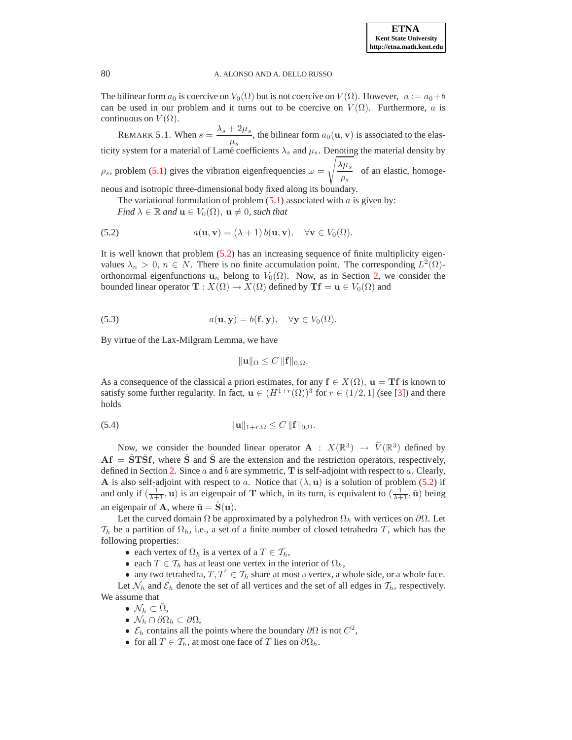The bilinear form  $a_0$  is coercive on  $V_0(\Omega)$  but is not coercive on  $V(\Omega)$ . However,  $a := a_0 + b$ can be used in our problem and it turns out to be coercive on  $V(\Omega)$ . Furthermore, a is continuous on  $V(\Omega)$ .

REMARK 5.1. When  $s = \frac{\lambda_s + 2\mu_s}{\lambda_s + 2\mu_s}$  $\frac{1-\mu}{\mu_s}$ , the bilinear form  $a_0(\mathbf{u}, \mathbf{v})$  is associated to the elasticity system for a material of Lamé coefficients  $\lambda_s$  and  $\mu_s$ . Denoting the material density by  $\rho_s$ , problem [\(5.1\)](#page-10-1) gives the vibration eigenfrequencies  $\omega =$  $\int$  $\lambda \mu_s$  $rac{\gamma \kappa s}{\rho_s}$  of an elastic, homogeneous and isotropic three-dimensional body fixed along its boundary.

The variational formulation of problem  $(5.1)$  associated with a is given by:

<span id="page-11-0"></span>*Find*  $\lambda \in \mathbb{R}$  *and*  $\mathbf{u} \in V_0(\Omega)$ ,  $\mathbf{u} \neq 0$ *, such that* 

(5.2) 
$$
a(\mathbf{u}, \mathbf{v}) = (\lambda + 1) b(\mathbf{u}, \mathbf{v}), \quad \forall \mathbf{v} \in V_0(\Omega).
$$

It is well known that problem [\(5.2\)](#page-11-0) has an increasing sequence of finite multiplicity eigenvalues  $\lambda_n > 0$ ,  $n \in N$ . There is no finite accumulation point. The corresponding  $L^2(\Omega)$ orthonormal eigenfunctions  $u_n$  belong to  $V_0(\Omega)$ . Now, as in Section [2,](#page-1-0) we consider the bounded linear operator  $\mathbf{T} : X(\Omega) \to X(\Omega)$  defined by  $\mathbf{T}f = \mathbf{u} \in V_0(\Omega)$  and

<span id="page-11-2"></span>(5.3) 
$$
a(\mathbf{u}, \mathbf{y}) = b(\mathbf{f}, \mathbf{y}), \quad \forall \mathbf{y} \in V_0(\Omega).
$$

By virtue of the Lax-Milgram Lemma, we have

$$
\|\mathbf{u}\|_{\Omega} \leq C \, \|\mathbf{f}\|_{0,\Omega}.
$$

As a consequence of the classical a priori estimates, for any  $f \in X(\Omega)$ ,  $u = Tf$  is known to satisfy some further regularity. In fact,  $\mathbf{u} \in (H^{1+r}(\Omega))^3$  for  $r \in (1/2,1]$  (see [\[3\]](#page-18-13)) and there holds

<span id="page-11-1"></span>
$$
\|\mathbf{u}\|_{1+r,\Omega} \leq C \, \|\mathbf{f}\|_{0,\Omega}.
$$

Now, we consider the bounded linear operator  $\mathbf{A} : X(\mathbb{R}^3) \to \widetilde{V}(\mathbb{R}^3)$  defined by  $\mathbf{A}f = \mathbf{S}T\mathbf{S}f$ , where  $\mathbf{S}$  and  $\mathbf{S}$  are the extension and the restriction operators, respectively, defined in Section [2.](#page-1-0) Since a and b are symmetric,  $\bf{T}$  is self-adjoint with respect to a. Clearly, A is also self-adjoint with respect to a. Notice that  $(\lambda, \mathbf{u})$  is a solution of problem [\(5.2\)](#page-11-0) if and only if  $(\frac{1}{\lambda+1}, \mathbf{u})$  is an eigenpair of T which, in its turn, is equivalent to  $(\frac{1}{\lambda+1}, \bar{\mathbf{u}})$  being an eigenpair of **A**, where  $\bar{u} = S(u)$ .

Let the curved domain  $\Omega$  be approximated by a polyhedron  $\Omega_h$  with vertices on  $\partial\Omega$ . Let  $\mathcal{T}_h$  be a partition of  $\Omega_h$ , i.e., a set of a finite number of closed tetrahedra T, which has the following properties:

- each vertex of  $\Omega_h$  is a vertex of a  $T \in \mathcal{T}_h$ ,
- each  $T \in \mathcal{T}_h$  has at least one vertex in the interior of  $\Omega_h$ ,
- any two tetrahedra,  $T, T^{'} \in \mathcal{T}_h$  share at most a vertex, a whole side, or a whole face.

Let  $\mathcal{N}_h$  and  $\mathcal{E}_h$  denote the set of all vertices and the set of all edges in  $\mathcal{T}_h$ , respectively. We assume that

- $\mathcal{N}_h \subset \bar{\Omega}$ ,
- $\mathcal{N}_h \cap \partial \Omega_h \subset \partial \Omega$ ,
- $\mathcal{E}_h$  contains all the points where the boundary  $\partial\Omega$  is not  $C^2$ ,
- for all  $T \in \mathcal{T}_h$ , at most one face of T lies on  $\partial \Omega_h$ .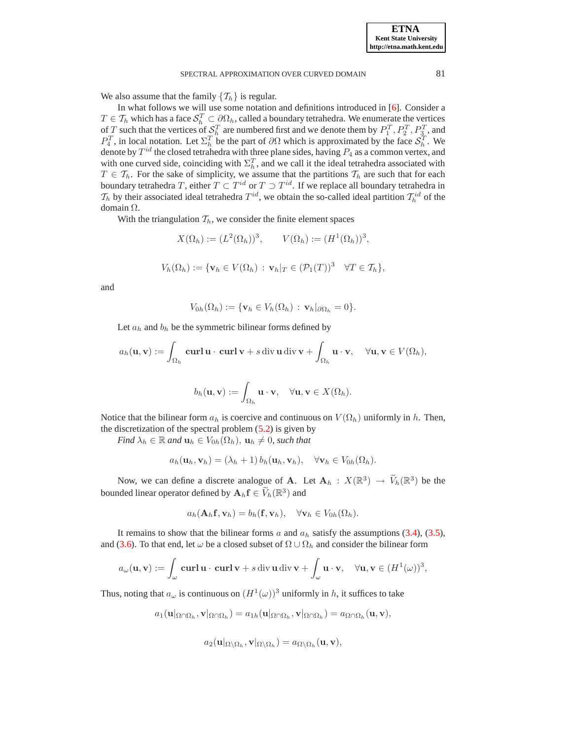We also assume that the family  $\{\mathcal{T}_h\}$  is regular.

In what follows we will use some notation and definitions introduced in [\[6\]](#page-18-14). Consider a  $T \in \mathcal{T}_h$  which has a face  $\mathcal{S}_h^T \subset \partial \Omega_h$ , called a boundary tetrahedra. We enumerate the vertices of T such that the vertices of  $S_h^T$  are numbered first and we denote them by  $P_1^T, P_2^T, P_3^T$ , and  $P_4^T$ , in local notation. Let  $\Sigma_h^T$  be the part of  $\partial\Omega$  which is approximated by the face  $S_h^T$ . We denote by  $T^{id}$  the closed tetrahedra with three plane sides, having  $P_4$  as a common vertex, and with one curved side, coinciding with  $\Sigma_h^T$ , and we call it the ideal tetrahedra associated with While the curved side, conficining with  $\mathbb{Z}_h$ , and we can it the fidear definition associated with  $T \in \mathcal{T}_h$ . For the sake of simplicity, we assume that the partitions  $\mathcal{T}_h$  are such that for each boundary tetrahedra T, either  $T \subset T^{id}$  or  $T \supset T^{id}$ . If we replace all boundary tetrahedra in  $\mathcal{T}_h$  by their associated ideal tetrahedra  $T^{id}$ , we obtain the so-called ideal partition  $\mathcal{T}_h^{id}$  of the domain Ω.

With the triangulation  $\mathcal{T}_h$ , we consider the finite element spaces

$$
X(\Omega_h) := (L^2(\Omega_h))^3, \qquad V(\Omega_h) := (H^1(\Omega_h))^3,
$$
  

$$
V_h(\Omega_h) := \{ \mathbf{v}_h \in V(\Omega_h) : \mathbf{v}_h|_T \in (\mathcal{P}_1(T))^3 \quad \forall T \in \mathcal{T}_h \},
$$

and

$$
V_{0h}(\Omega_h) := \{ \mathbf{v}_h \in V_h(\Omega_h) : \mathbf{v}_h |_{\partial \Omega_h} = 0 \}.
$$

Let  $a_h$  and  $b_h$  be the symmetric bilinear forms defined by

$$
a_h(\mathbf{u}, \mathbf{v}) := \int_{\Omega_h} \mathbf{curl} \, \mathbf{u} \cdot \mathbf{curl} \, \mathbf{v} + s \, \text{div} \, \mathbf{u} \, \text{div} \, \mathbf{v} + \int_{\Omega_h} \mathbf{u} \cdot \mathbf{v}, \quad \forall \mathbf{u}, \mathbf{v} \in V(\Omega_h),
$$

$$
b_h(\mathbf{u}, \mathbf{v}) := \int_{\Omega_h} \mathbf{u} \cdot \mathbf{v}, \quad \forall \mathbf{u}, \mathbf{v} \in X(\Omega_h).
$$

Notice that the bilinear form  $a_h$  is coercive and continuous on  $V(\Omega_h)$  uniformly in h. Then, the discretization of the spectral problem  $(5.2)$  is given by

*Find*  $\lambda_h \in \mathbb{R}$  *and*  $\mathbf{u}_h \in V_{0h}(\Omega_h)$ ,  $\mathbf{u}_h \neq 0$ , *such that* 

$$
a_h(\mathbf{u}_h, \mathbf{v}_h) = (\lambda_h + 1) b_h(\mathbf{u}_h, \mathbf{v}_h), \quad \forall \mathbf{v}_h \in V_{0h}(\Omega_h).
$$

Now, we can define a discrete analogue of **A**. Let  $\mathbf{A}_h : X(\mathbb{R}^3) \to \widetilde{V}_h(\mathbb{R}^3)$  be the bounded linear operator defined by  $\mathbf{A}_h \mathbf{f} \in \widetilde{V}_h(\mathbb{R}^3)$  and

$$
a_h(\mathbf{A}_h \mathbf{f}, \mathbf{v}_h) = b_h(\mathbf{f}, \mathbf{v}_h), \quad \forall \mathbf{v}_h \in V_{0h}(\Omega_h).
$$

It remains to show that the bilinear forms  $a$  and  $a<sub>h</sub>$  satisfy the assumptions [\(3.4\)](#page-2-2), [\(3.5\)](#page-3-3), and [\(3.6\)](#page-3-2). To that end, let  $\omega$  be a closed subset of  $\Omega \cup \Omega_h$  and consider the bilinear form

$$
a_{\omega}(\mathbf{u}, \mathbf{v}) := \int_{\omega} \mathbf{curl} \, \mathbf{u} \cdot \mathbf{curl} \, \mathbf{v} + s \operatorname{div} \mathbf{u} \operatorname{div} \mathbf{v} + \int_{\omega} \mathbf{u} \cdot \mathbf{v}, \quad \forall \mathbf{u}, \mathbf{v} \in (H^1(\omega))^3,
$$

Thus, noting that  $a_{\omega}$  is continuous on  $(H^1(\omega))^3$  uniformly in h, it suffices to take

$$
a_1(\mathbf{u}|_{\Omega \cap \Omega_h}, \mathbf{v}|_{\Omega \cap \Omega_h}) = a_{1h}(\mathbf{u}|_{\Omega \cap \Omega_h}, \mathbf{v}|_{\Omega \cap \Omega_h}) = a_{\Omega \cap \Omega_h}(\mathbf{u}, \mathbf{v}),
$$

$$
a_2(\mathbf{u}|_{\Omega\setminus\Omega_h},\mathbf{v}|_{\Omega\setminus\Omega_h})=a_{\Omega\setminus\Omega_h}(\mathbf{u},\mathbf{v}),
$$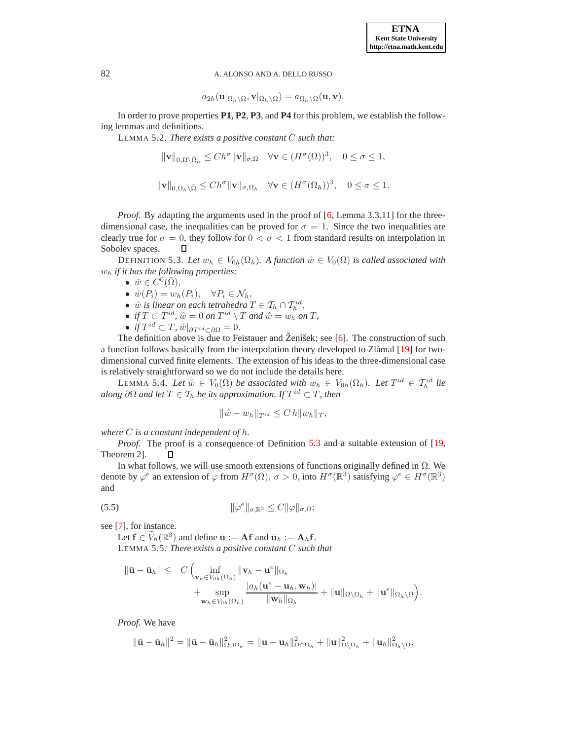$$
a_{2h}(\mathbf{u}|_{\Omega_h\setminus\Omega},\mathbf{v}|_{\Omega_h\setminus\Omega})=a_{\Omega_h\setminus\Omega}(\mathbf{u},\mathbf{v}).
$$

<span id="page-13-3"></span>In order to prove properties **P1**, **P2**, **P3**, and **P4** for this problem, we establish the following lemmas and definitions.

LEMMA 5.2. *There exists a positive constant* C *such that:*

$$
\|\mathbf{v}\|_{0,\Omega\setminus\bar{\Omega}_h} \le Ch^{\sigma} \|\mathbf{v}\|_{\sigma,\Omega} \quad \forall \mathbf{v} \in (H^{\sigma}(\Omega))^3, \quad 0 \le \sigma \le 1,
$$

$$
\|\mathbf{v}\|_{0,\Omega_h\setminus\bar{\Omega}} \le Ch^{\sigma} \|\mathbf{v}\|_{\sigma,\Omega_h} \quad \forall \mathbf{v} \in (H^{\sigma}(\Omega_h))^3, \quad 0 \le \sigma \le 1.
$$

*Proof.* By adapting the arguments used in the proof of [\[6,](#page-18-14) Lemma 3.3.11] for the threedimensional case, the inequalities can be proved for  $\sigma = 1$ . Since the two inequalities are clearly true for  $\sigma = 0$ , they follow for  $0 < \sigma < 1$  from standard results on interpolation in Sobolev spaces. П

<span id="page-13-0"></span>DEFINITION 5.3. Let  $w_h \in V_{0h}(\Omega_h)$ . A function  $\hat{w} \in V_0(\Omega)$  is called associated with w<sup>h</sup> *if it has the following properties:*

- $\hat{w} \in C^0(\overline{\Omega}),$
- $\hat{w}(P_i) = w_h(P_i), \quad \forall P_i \in \mathcal{N}_h,$
- $\hat{w}$  *is linear on each tetrahedra*  $T \in \mathcal{T}_h \cap \mathcal{T}_h^{id}$ ,
- *if*  $T \subset T^{id}$ ,  $\hat{w} = 0$  *on*  $T^{id} \setminus T$  *and*  $\hat{w} = w_h$  *on*  $T$ *,*
- *if*  $T^{id} \subset T$ ,  $\hat{w}|_{\partial T^{id} \subset \partial \Omega} = 0$ .

The definition above is due to Feistauer and Ženíšek; see  $[6]$  $[6]$ . The construction of such a function follows basically from the interpolation theory developed to Zlámal [\[19\]](#page-18-15) for twodimensional curved finite elements. The extension of his ideas to the three-dimensional case is relatively straightforward so we do not include the details here.

<span id="page-13-4"></span>LEMMA 5.4. *Let*  $\hat{w} \in V_0(\Omega)$  *be associated with*  $w_h \in V_{0h}(\Omega_h)$ . Let  $T^{id} \in \mathcal{T}_h^{id}$  *lie*  $a$ long  $\partial \Omega$  and let  $T \in \mathcal{T}_h$  be its approximation. If  $T^{id} \subset T$ , then

$$
\|\hat{w} - w_h\|_{T^{id}} \le C h \|w_h\|_T,
$$

*where* C *is a constant independent of* h*.*

*Proof.* The proof is a consequence of Definition [5.3](#page-13-0) and a suitable extension of [\[19,](#page-18-15) Theorem 2]. П.

In what follows, we will use smooth extensions of functions originally defined in  $\Omega$ . We denote by  $\varphi^e$  an extension of  $\varphi$  from  $H^{\sigma}(\Omega)$ ,  $\sigma > 0$ , into  $H^{\sigma}(\mathbb{R}^3)$  satisfying  $\varphi^e \in H^{\sigma}(\mathbb{R}^3)$ and

$$
\|\varphi^e\|_{\sigma,\mathbb{R}^3} \le C \|\varphi\|_{\sigma,\Omega};
$$

<span id="page-13-1"></span>see [\[7\]](#page-18-16), for instance.

<span id="page-13-2"></span>Let  $\mathbf{f} \in \widetilde{V}_h(\mathbb{R}^3)$  and define  $\bar{\mathbf{u}} := \mathbf{A}\mathbf{f}$  and  $\bar{\mathbf{u}}_h := \mathbf{A}_h\mathbf{f}$ . LEMMA 5.5. *There exists a positive constant* C *such that*

$$
\|\bar{\mathbf{u}} - \bar{\mathbf{u}}_h\| \leq C \left( \inf_{\mathbf{v}_h \in V_{0h}(\Omega_h)} \|\mathbf{v}_h - \mathbf{u}^e\|_{\Omega_h} + \sup_{\mathbf{w}_h \in V_{0h}(\Omega_h)} \frac{|a_h(\mathbf{u}^e - \mathbf{u}_h, \mathbf{w}_h)|}{\|\mathbf{w}_h\|_{\Omega_h}} + \|\mathbf{u}\|_{\Omega \setminus \Omega_h} + \|\mathbf{u}^e\|_{\Omega_h \setminus \Omega} \right).
$$

*Proof*. We have

$$
\|\bar{\mathbf{u}}-\bar{\mathbf{u}}_h\|^2=\|\bar{\mathbf{u}}-\bar{\mathbf{u}}_h\|^2_{\Omega\cup\Omega_h}=\|\mathbf{u}-\mathbf{u}_h\|^2_{\Omega\cap\Omega_h}+\|\mathbf{u}\|^2_{\Omega\setminus\Omega_h}+\|\mathbf{u}_h\|^2_{\Omega_h\setminus\Omega}.
$$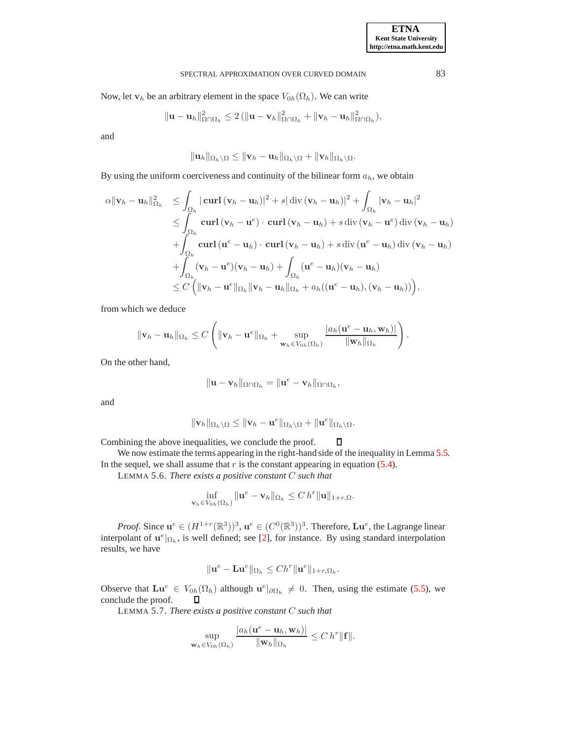Now, let  $\mathbf{v}_h$  be an arbitrary element in the space  $V_{0h}(\Omega_h)$ . We can write

$$
\|\mathbf{u}-\mathbf{u}_h\|_{\Omega\cap\Omega_h}^2\leq 2\left(\|\mathbf{u}-\mathbf{v}_h\|_{\Omega\cap\Omega_h}^2+\|\mathbf{v}_h-\mathbf{u}_h\|_{\Omega\cap\Omega_h}^2\right),\,
$$

and

$$
\|\mathbf{u}_h\|_{\Omega_h\setminus\Omega}\leq \|\mathbf{v}_h-\mathbf{u}_h\|_{\Omega_h\setminus\Omega}+\|\mathbf{v}_h\|_{\Omega_h\setminus\Omega}.
$$

By using the uniform coerciveness and continuity of the bilinear form  $a_h$ , we obtain

$$
\alpha \|\mathbf{v}_h - \mathbf{u}_h\|_{\Omega_h}^2 \leq \int_{\Omega_h} |\operatorname{curl} (\mathbf{v}_h - \mathbf{u}_h)|^2 + s |\operatorname{div} (\mathbf{v}_h - \mathbf{u}_h)|^2 + \int_{\Omega_h} |\mathbf{v}_h - \mathbf{u}_h|^2
$$
  
\n
$$
\leq \int_{\Omega_h} \operatorname{curl} (\mathbf{v}_h - \mathbf{u}^e) \cdot \operatorname{curl} (\mathbf{v}_h - \mathbf{u}_h) + s \operatorname{div} (\mathbf{v}_h - \mathbf{u}^e) \operatorname{div} (\mathbf{v}_h - \mathbf{u}_h)
$$
  
\n
$$
+ \int_{\Omega_h} \operatorname{curl} (\mathbf{u}^e - \mathbf{u}_h) \cdot \operatorname{curl} (\mathbf{v}_h - \mathbf{u}_h) + s \operatorname{div} (\mathbf{u}^e - \mathbf{u}_h) \operatorname{div} (\mathbf{v}_h - \mathbf{u}_h)
$$
  
\n
$$
+ \int_{\Omega_h} (\mathbf{v}_h - \mathbf{u}^e) (\mathbf{v}_h - \mathbf{u}_h) + \int_{\Omega_h} (\mathbf{u}^e - \mathbf{u}_h) (\mathbf{v}_h - \mathbf{u}_h)
$$
  
\n
$$
\leq C \left( \|\mathbf{v}_h - \mathbf{u}^e\|_{\Omega_h} \|\mathbf{v}_h - \mathbf{u}_h\|_{\Omega_h} + a_h ((\mathbf{u}^e - \mathbf{u}_h), (\mathbf{v}_h - \mathbf{u}_h)) \right),
$$

from which we deduce

$$
\|\mathbf{v}_h-\mathbf{u}_h\|_{\Omega_h}\leq C\left(\|\mathbf{v}_h-\mathbf{u}^e\|_{\Omega_h}+\sup_{\mathbf{w}_h\in V_{0h}(\Omega_h)}\frac{|a_h(\mathbf{u}^e-\mathbf{u}_h,\mathbf{w}_h)|}{\|\mathbf{w}_h\|_{\Omega_h}}\right).
$$

On the other hand,

$$
\|\mathbf{u}-\mathbf{v}_h\|_{\Omega\cap\Omega_h}=\|\mathbf{u}^e-\mathbf{v}_h\|_{\Omega\cap\Omega_h},
$$

and

$$
\|\mathbf{v}_h\|_{\Omega_h\setminus\Omega}\leq \|\mathbf{v}_h-\mathbf{u}^e\|_{\Omega_h\setminus\Omega}+\|\mathbf{u}^e\|_{\Omega_h\setminus\Omega}.
$$

Combining the above inequalities, we conclude the proof.  $\Box$ 

<span id="page-14-0"></span>We now estimate the terms appearing in the right-hand side of the inequality in Lemma [5.5.](#page-13-1) In the sequel, we shall assume that  $r$  is the constant appearing in equation [\(5.4\)](#page-11-1).

LEMMA 5.6. *There exists a positive constant* C *such that*

$$
\inf_{\mathbf{v}_h \in V_{0h}(\Omega_h)} \|\mathbf{u}^e - \mathbf{v}_h\|_{\Omega_h} \leq C \, h^r \|\mathbf{u}\|_{1+r,\Omega}.
$$

*Proof.* Since  $u^e \in (H^{1+r}(\mathbb{R}^3))^3$ ,  $u^e \in (C^0(\mathbb{R}^3))^3$ . Therefore,  $Lu^e$ , the Lagrange linear interpolant of  $\mathbf{u}^e|_{\Omega_h}$ , is well defined; see [\[2\]](#page-18-11), for instance. By using standard interpolation results, we have

$$
\|\mathbf{u}^e - \mathbf{L}\mathbf{u}^e\|_{\Omega_h} \le Ch^r \|\mathbf{u}^e\|_{1+r,\Omega_h}.
$$

Observe that  $\mathbf{L}u^e \in V_{0h}(\Omega_h)$  although  $\mathbf{u}^e|_{\partial\Omega_h} \neq 0$ . Then, using the estimate [\(5.5\)](#page-13-2), we conclude the proof.  $\Box$ 

LEMMA 5.7. *There exists a positive constant* C *such that*

$$
\sup_{\mathbf{w}_h \in V_{0h}(\Omega_h)} \frac{|a_h(\mathbf{u}^e - \mathbf{u}_h, \mathbf{w}_h)|}{\|\mathbf{w}_h\|_{\Omega_h}} \leq C \, h^r \| \mathbf{f} \|.
$$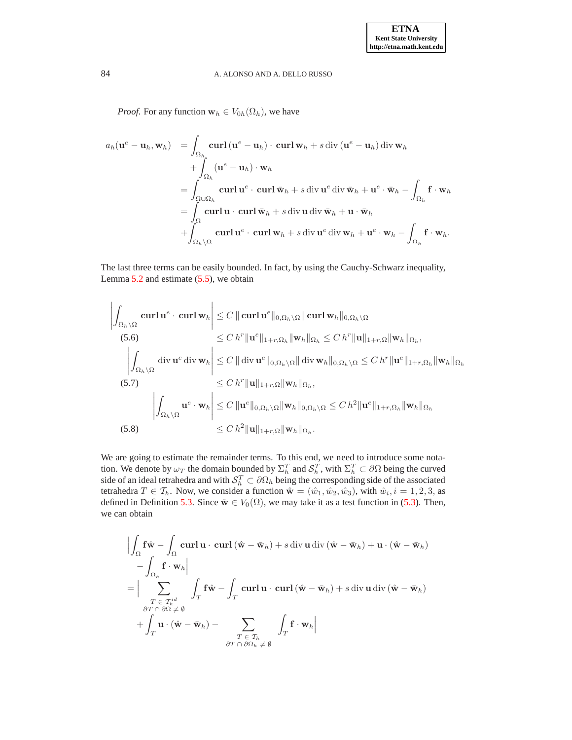*Proof.* For any function  $\mathbf{w}_h \in V_{0h}(\Omega_h)$ , we have

$$
a_h(\mathbf{u}^e - \mathbf{u}_h, \mathbf{w}_h) = \int_{\Omega_h} \mathbf{curl} (\mathbf{u}^e - \mathbf{u}_h) \cdot \mathbf{curl} \mathbf{w}_h + s \operatorname{div} (\mathbf{u}^e - \mathbf{u}_h) \operatorname{div} \mathbf{w}_h + \int_{\Omega_h} (\mathbf{u}^e - \mathbf{u}_h) \cdot \mathbf{w}_h = \int_{\Omega \cup \Omega_h} \mathbf{curl} \mathbf{u}^e \cdot \mathbf{curl} \mathbf{w}_h + s \operatorname{div} \mathbf{u}^e \operatorname{div} \mathbf{w}_h + \mathbf{u}^e \cdot \mathbf{w}_h - \int_{\Omega_h} \mathbf{f} \cdot \mathbf{w}_h = \int_{\Omega} \mathbf{curl} \mathbf{u} \cdot \mathbf{curl} \mathbf{w}_h + s \operatorname{div} \mathbf{u} \operatorname{div} \mathbf{w}_h + \mathbf{u} \cdot \mathbf{w}_h + \int_{\Omega_h \setminus \Omega} \mathbf{curl} \mathbf{u}^e \cdot \mathbf{curl} \mathbf{w}_h + s \operatorname{div} \mathbf{u}^e \operatorname{div} \mathbf{w}_h + \mathbf{u}^e \cdot \mathbf{w}_h - \int_{\Omega_h} \mathbf{f} \cdot \mathbf{w}_h.
$$

The last three terms can be easily bounded. In fact, by using the Cauchy-Schwarz inequality, Lemma [5.2](#page-13-3) and estimate [\(5.5\)](#page-13-2), we obtain

<span id="page-15-0"></span>
$$
\left| \int_{\Omega_h \setminus \Omega} \mathbf{curl} \, \mathbf{u}^e \cdot \mathbf{curl} \, \mathbf{w}_h \right| \leq C \, \|\mathbf{curl} \, \mathbf{u}^e\|_{0,\Omega_h \setminus \Omega} \|\mathbf{curl} \, \mathbf{w}_h\|_{0,\Omega_h \setminus \Omega}
$$
\n
$$
(5.6) \leq C \, h^r \|\mathbf{u}^e\|_{1+r,\Omega_h} \|\mathbf{w}_h\|_{\Omega_h} \leq C \, h^r \|\mathbf{u}\|_{1+r,\Omega} \|\mathbf{w}_h\|_{\Omega_h},
$$
\n
$$
\left| \int_{\Omega_h \setminus \Omega} \mathbf{div} \, \mathbf{u}^e \, \mathbf{div} \, \mathbf{w}_h \right| \leq C \, \|\mathbf{div} \, \mathbf{u}^e\|_{0,\Omega_h \setminus \Omega} \|\mathbf{div} \, \mathbf{w}_h\|_{0,\Omega_h \setminus \Omega} \leq C \, h^r \|\mathbf{u}^e\|_{1+r,\Omega_h} \|\mathbf{w}_h\|_{\Omega_h}
$$
\n
$$
(5.7) \leq C \, h^r \|\mathbf{u}\|_{1+r,\Omega} \|\mathbf{w}_h\|_{\Omega_h},
$$
\n
$$
\left| \int_{\Omega_h \setminus \Omega} \mathbf{u}^e \cdot \mathbf{w}_h \right| \leq C \|\mathbf{u}^e\|_{0,\Omega_h \setminus \Omega} \|\mathbf{w}_h\|_{0,\Omega_h \setminus \Omega} \leq C \, h^2 \|\mathbf{u}^e\|_{1+r,\Omega_h} \|\mathbf{w}_h\|_{\Omega_h}
$$
\n
$$
(5.8) \leq C \, h^2 \|\mathbf{u}\|_{1+r,\Omega} \|\mathbf{w}_h\|_{\Omega_h}.
$$

We are going to estimate the remainder terms. To this end, we need to introduce some notation. We denote by  $\omega_T$  the domain bounded by  $\Sigma_h^T$  and  $\mathcal{S}_h^T$ , with  $\Sigma_h^T \subset \partial\Omega$  being the curved side of an ideal tetrahedra and with  $S_h^T \subset \partial \Omega_h$  being the corresponding side of the associated tetrahedra  $T \in \mathcal{T}_h$ . Now, we consider a function  $\hat{\mathbf{w}} = (\hat{w}_1, \hat{w}_2, \hat{w}_3)$ , with  $\hat{w}_i, i = 1, 2, 3$ , as defined in Definition [5.3.](#page-13-0) Since  $\hat{\mathbf{w}} \in V_0(\Omega)$ , we may take it as a test function in [\(5.3\)](#page-11-2). Then, we can obtain

$$
\left| \int_{\Omega} \mathbf{f} \hat{\mathbf{w}} - \int_{\Omega} \mathbf{curl} \mathbf{u} \cdot \mathbf{curl} (\hat{\mathbf{w}} - \bar{\mathbf{w}}_h) + s \operatorname{div} \mathbf{u} \operatorname{div} (\hat{\mathbf{w}} - \bar{\mathbf{w}}_h) + \mathbf{u} \cdot (\hat{\mathbf{w}} - \bar{\mathbf{w}}_h) \right|
$$
  
\n
$$
= \left| \sum_{\substack{T \in \mathcal{T}_h^i \\ \partial T \cap \partial \Omega \neq \emptyset}}^{\Gamma \in \mathcal{T}_h^i} \int_T \mathbf{f} \hat{\mathbf{w}} - \int_T \mathbf{curl} \mathbf{u} \cdot \mathbf{curl} (\hat{\mathbf{w}} - \bar{\mathbf{w}}_h) + s \operatorname{div} \mathbf{u} \operatorname{div} (\hat{\mathbf{w}} - \bar{\mathbf{w}}_h) \right|
$$
  
\n
$$
+ \int_T \mathbf{u} \cdot (\hat{\mathbf{w}} - \bar{\mathbf{w}}_h) - \sum_{\substack{T \in \mathcal{T}_h \\ \partial T \cap \partial \Omega_h \neq \emptyset}}^{\Gamma \in \mathcal{T}_h} \int_T \mathbf{f} \cdot \mathbf{w}_h \right|
$$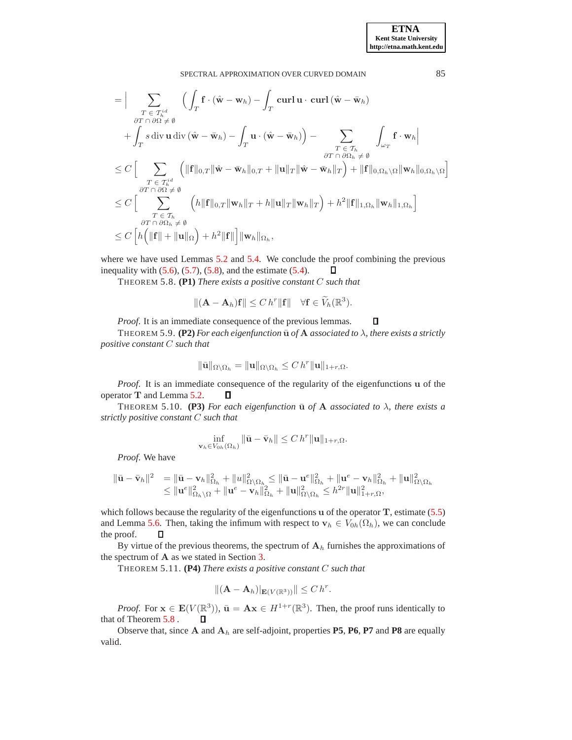$$
\begin{split}\n&= \Big|\sum_{\substack{T \in \mathcal{T}_h^{id} \\ \partial T \cap \partial \Omega \neq \emptyset}} \Big(\int_T \mathbf{f} \cdot (\hat{\mathbf{w}} - \mathbf{w}_h) - \int_T \mathbf{curl} \mathbf{u} \cdot \mathbf{curl} (\hat{\mathbf{w}} - \bar{\mathbf{w}}_h) \\
&\quad + \int_T s \operatorname{div} \mathbf{u} \operatorname{div} (\hat{\mathbf{w}} - \bar{\mathbf{w}}_h) - \int_T \mathbf{u} \cdot (\hat{\mathbf{w}} - \bar{\mathbf{w}}_h) \Big) - \sum_{\substack{T \in \mathcal{T}_h \\ \partial T \cap \partial \Omega_h \neq \emptyset}} \int_{\omega_T} \mathbf{f} \cdot \mathbf{w}_h \Big|\n\end{split}
$$
\n
$$
\leq C \Big[\sum_{\substack{T \in \mathcal{T}_h^{id} \\ \partial T \cap \partial \Omega \neq \emptyset}} \Big( \|\mathbf{f}\|_{0,T} \|\hat{\mathbf{w}} - \bar{\mathbf{w}}_h\|_{0,T} + \|\mathbf{u}\|_T \|\hat{\mathbf{w}} - \bar{\mathbf{w}}_h\|_T \Big) + \|\mathbf{f}\|_{0,\Omega_h \backslash \Omega} \|\mathbf{w}_h\|_{0,\Omega_h \backslash \Omega} \Big]
$$
\n
$$
\leq C \Big[\sum_{\substack{T \in \mathcal{T}_h \\ \partial T \cap \partial \Omega_h \neq \emptyset}} \Big(h \|\mathbf{f}\|_{0,T} \|\mathbf{w}_h\|_T + h \|\mathbf{u}\|_T \|\mathbf{w}_h\|_T \Big) + h^2 \|\mathbf{f}\|_{1,\Omega_h} \|\mathbf{w}_h\|_{1,\Omega_h} \Big] \\
\leq C \Big[h \Big(\|\mathbf{f}\| + \|\mathbf{u}\|_{\Omega}\Big) + h^2 \|\mathbf{f}\| \Big] \|\mathbf{w}_h\|_{\Omega_h},
$$

<span id="page-16-0"></span>where we have used Lemmas [5.2](#page-13-3) and [5.4.](#page-13-4) We conclude the proof combining the previous inequality with  $(5.6)$ ,  $(5.7)$ ,  $(5.8)$ , and the estimate  $(5.4)$ .  $\Box$ 

THEOREM 5.8. **(P1)** *There exists a positive constant* C *such that*

$$
\|(\mathbf{A}-\mathbf{A}_h)\mathbf{f}\| \leq C\,h^r\|\mathbf{f}\| \quad \forall \mathbf{f} \in \widetilde{V}_h(\mathbb{R}^3).
$$

*Proof*. It is an immediate consequence of the previous lemmas.  $\Box$ 

THEOREM 5.9. **(P2)** *For each eigenfunction*  $\bar{u}$  *of*  $A$  *associated to*  $\lambda$ *, there exists a strictly positive constant* C *such that*

$$
\|\bar{\mathbf{u}}\|_{\Omega\setminus\Omega_h} = \|\mathbf{u}\|_{\Omega\setminus\Omega_h} \leq C h^r \|\mathbf{u}\|_{1+r,\Omega}.
$$

*Proof.* It is an immediate consequence of the regularity of the eigenfunctions u of the operator T and Lemma [5.2.](#page-13-3)  $\Box$ 

THEOREM 5.10. **(P3)** For each eigenfunction  $\bar{u}$  of A associated to  $\lambda$ , there exists a *strictly positive constant* C *such that*

$$
\inf_{\mathbf{v}_h \in V_{0h}(\Omega_h)} \|\bar{\mathbf{u}} - \bar{\mathbf{v}}_h\| \le C h^r \|\mathbf{u}\|_{1+r,\Omega}.
$$

*Proof*. We have

$$
\begin{array}{rl}\|\bar{\mathbf{u}}-\bar{\mathbf{v}}_h\|^2&=\|\bar{\mathbf{u}}-\mathbf{v}_h\|^2_{\Omega_h}+\|u\|^2_{\Omega\setminus\Omega_h}\leq \|\bar{\mathbf{u}}-\mathbf{u}^e\|^2_{\Omega_h}+\|\mathbf{u}^e-\mathbf{v}_h\|^2_{\Omega_h}+\|\mathbf{u}\|^2_{\Omega\setminus\Omega_h}\\ &\leq \|\mathbf{u}^e\|^2_{\Omega_h\setminus\Omega}+\|\mathbf{u}^e-\mathbf{v}_h\|^2_{\Omega_h}+\|\mathbf{u}\|^2_{\Omega\setminus\Omega_h}\leq h^{2r}\|\mathbf{u}\|^2_{1+r,\Omega},\end{array}
$$

which follows because the regularity of the eigenfunctions  $\bf{u}$  of the operator  $\bf{T}$ , estimate [\(5.5\)](#page-13-2) and Lemma [5.6.](#page-14-0) Then, taking the infimum with respect to  $\mathbf{v}_h \in V_{0h}(\Omega_h)$ , we can conclude the proof.  $\Box$ 

By virtue of the previous theorems, the spectrum of  $A<sub>h</sub>$  furnishes the approximations of the spectrum of A as we stated in Section [3.](#page-1-1)

THEOREM 5.11. **(P4)** *There exists a positive constant* C *such that*

$$
\|(\mathbf{A}-\mathbf{A}_h)|_{\mathbf{E}(V(\mathbb{R}^3))}\| \leq C h^r.
$$

*Proof.* For  $\mathbf{x} \in \mathbf{E}(V(\mathbb{R}^3))$ ,  $\bar{\mathbf{u}} = \mathbf{A}\mathbf{x} \in H^{1+r}(\mathbb{R}^3)$ . Then, the proof runs identically to that of Theorem [5.8](#page-16-0) .  $\Box$ 

Observe that, since  $A$  and  $A_h$  are self-adjoint, properties **P5**, **P6**, **P7** and **P8** are equally valid.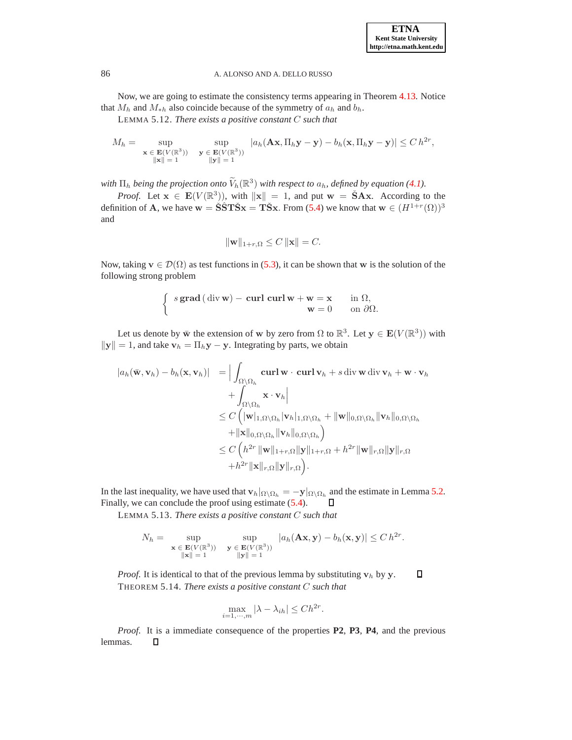Now, we are going to estimate the consistency terms appearing in Theorem [4.13.](#page-10-2) Notice that  $M_h$  and  $M_{\ast h}$  also coincide because of the symmetry of  $a_h$  and  $b_h$ .

LEMMA 5.12. *There exists a positive constant* C *such that*

$$
M_h = \sup_{\substack{\mathbf{x} \in \mathbf{E}(V(\mathbb{R}^3)) \\ \|\mathbf{x}\| = 1}} \sup_{\substack{\mathbf{y} \in \mathbf{E}(V(\mathbb{R}^3)) \\ \|\mathbf{y}\| = 1}} |a_h(\mathbf{A}\mathbf{x}, \Pi_h \mathbf{y} - \mathbf{y}) - b_h(\mathbf{x}, \Pi_h \mathbf{y} - \mathbf{y})| \le C h^{2r},
$$

with  $\Pi_h$  being the projection onto  $\widetilde{V}_h(\mathbb{R}^3)$  with respect to  $a_h$ , defined by equation [\(4.1\)](#page-5-0).

*Proof.* Let  $x \in E(V(\mathbb{R}^3))$ , with  $||x|| = 1$ , and put  $w = \check{S}Ax$ . According to the definition of **A**, we have  $w = \check{\mathbf{S}}\hat{\mathbf{S}}\mathbf{T}\check{\mathbf{S}}\mathbf{x} = \mathbf{T}\check{\mathbf{S}}\mathbf{x}$ . From [\(5.4\)](#page-11-1) we know that  $w \in (H^{1+r}(\Omega))^3$ and

$$
\|\mathbf{w}\|_{1+r,\Omega} \le C \|\mathbf{x}\| = C.
$$

Now, taking  $\mathbf{v} \in \mathcal{D}(\Omega)$  as test functions in [\(5.3\)](#page-11-2), it can be shown that w is the solution of the following strong problem

$$
\begin{cases} s \operatorname{grad} (\operatorname{div} \mathbf{w}) - \operatorname{curl} \operatorname{curl} \mathbf{w} + \mathbf{w} = \mathbf{x} & \text{in } \Omega, \\ \mathbf{w} = 0 & \text{on } \partial \Omega. \end{cases}
$$

Let us denote by  $\bar{w}$  the extension of w by zero from  $\Omega$  to  $\mathbb{R}^3$ . Let  $y \in E(V(\mathbb{R}^3))$  with  $||\mathbf{y}|| = 1$ , and take  $\mathbf{v}_h = \Pi_h \mathbf{y} - \mathbf{y}$ . Integrating by parts, we obtain

$$
|a_h(\bar{\mathbf{w}}, \mathbf{v}_h) - b_h(\mathbf{x}, \mathbf{v}_h)| = \Big| \int_{\Omega \setminus \Omega_h} \mathbf{curl} \, \mathbf{w} \cdot \mathbf{curl} \, \mathbf{v}_h + s \, \text{div} \, \mathbf{w} \, \text{div} \, \mathbf{v}_h + \mathbf{w} \cdot \mathbf{v}_h
$$
  
+ 
$$
\int_{\Omega \setminus \Omega_h} \mathbf{x} \cdot \mathbf{v}_h \Big|
$$
  

$$
\leq C \left( |\mathbf{w}|_{1,\Omega \setminus \Omega_h} |\mathbf{v}_h|_{1,\Omega \setminus \Omega_h} + ||\mathbf{w}||_{0,\Omega \setminus \Omega_h} ||\mathbf{v}_h||_{0,\Omega \setminus \Omega_h}
$$
  
+ 
$$
||\mathbf{x}||_{0,\Omega \setminus \Omega_h} ||\mathbf{v}_h||_{0,\Omega \setminus \Omega_h}
$$
  

$$
\leq C \left( h^{2r} ||\mathbf{w}||_{1+r,\Omega} ||\mathbf{y}||_{1+r,\Omega} + h^{2r} ||\mathbf{w}||_{r,\Omega} ||\mathbf{y}||_{r,\Omega}
$$
  
+ 
$$
h^{2r} ||\mathbf{x}||_{r,\Omega} ||\mathbf{y}||_{r,\Omega} \right).
$$

In the last inequality, we have used that  $\mathbf{v}_h|_{\Omega\setminus\Omega_h} = -\mathbf{y}|_{\Omega\setminus\Omega_h}$  and the estimate in Lemma [5.2.](#page-13-3) Finally, we can conclude the proof using estimate [\(5.4\)](#page-11-1). O

LEMMA 5.13. *There exists a positive constant* C *such that*

$$
N_h = \sup_{\mathbf{x} \in \mathbf{E}(V(\mathbb{R}^3))} \sup_{\substack{\mathbf{y} \in \mathbf{E}(V(\mathbb{R}^3)) \\ \|\mathbf{x}\| = 1}} |a_h(\mathbf{A}\mathbf{x}, \mathbf{y}) - b_h(\mathbf{x}, \mathbf{y})| \le C h^{2r}.
$$

*Proof.* It is identical to that of the previous lemma by substituting  $v_h$  by y.  $\Box$ THEOREM 5.14. *There exists a positive constant* C *such that*

$$
\max_{i=1,\cdots,m} |\lambda - \lambda_{ih}| \le Ch^{2r}.
$$

*Proof*. It is a immediate consequence of the properties **P2**, **P3**, **P4**, and the previous lemmas. $\Box$